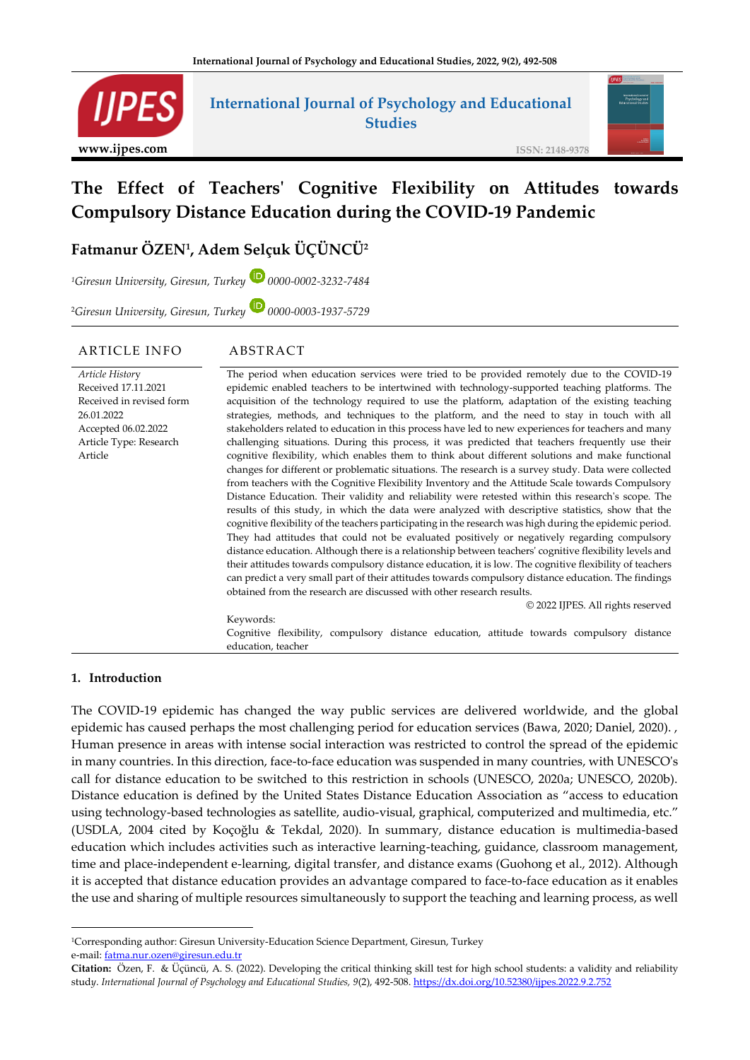

## **International Journal of Psychology and Educational Studies**

**ISSN: 2148-9378**

# **The Effect of Teachers' Cognitive Flexibility on Attitudes towards Compulsory Distance Education during the COVID-19 Pandemic**

## **Fatmanur ÖZEN<sup>1</sup> , Adem Selçuk ÜÇÜNCÜ<sup>2</sup>**

*<sup>1</sup>Giresun University, Giresun, Turkey 0000-0002-3232-7484*

<sup>2</sup>*Giresun University, Giresun, Turkey 0000-0003-1937-5729*

#### ARTICLE INFO ABSTRACT

#### *Article Histor*y Received 17.11.2021 Received in revised form 26.01.2022 Accepted 06.02.2022 Article Type: Research Article The period when education services were tried to be provided remotely due to the COVID-19 epidemic enabled teachers to be intertwined with technology-supported teaching platforms. The acquisition of the technology required to use the platform, adaptation of the existing teaching strategies, methods, and techniques to the platform, and the need to stay in touch with all stakeholders related to education in this process have led to new experiences for teachers and many challenging situations. During this process, it was predicted that teachers frequently use their cognitive flexibility, which enables them to think about different solutions and make functional changes for different or problematic situations. The research is a survey study. Data were collected from teachers with the Cognitive Flexibility Inventory and the Attitude Scale towards Compulsory Distance Education. Their validity and reliability were retested within this research's scope. The results of this study, in which the data were analyzed with descriptive statistics, show that the cognitive flexibility of the teachers participating in the research was high during the epidemic period. They had attitudes that could not be evaluated positively or negatively regarding compulsory distance education. Although there is a relationship between teachers' cognitive flexibility levels and their attitudes towards compulsory distance education, it is low. The cognitive flexibility of teachers can predict a very small part of their attitudes towards compulsory distance education. The findings obtained from the research are discussed with other research results. © 2022 IJPES. All rights reserved Keywords:

Cognitive flexibility, compulsory distance education, attitude towards compulsory distance education, teacher

#### **1. Introduction**

The COVID-19 epidemic has changed the way public services are delivered worldwide, and the global epidemic has caused perhaps the most challenging period for education services (Bawa, 2020; Daniel, 2020). , Human presence in areas with intense social interaction was restricted to control the spread of the epidemic in many countries. In this direction, face-to-face education was suspended in many countries, with UNESCO's call for distance education to be switched to this restriction in schools (UNESCO, 2020a; UNESCO, 2020b). Distance education is defined by the United States Distance Education Association as "access to education using technology-based technologies as satellite, audio-visual, graphical, computerized and multimedia, etc." (USDLA, 2004 cited by Koçoğlu & Tekdal, 2020). In summary, distance education is multimedia-based education which includes activities such as interactive learning-teaching, guidance, classroom management, time and place-independent e-learning, digital transfer, and distance exams (Guohong et al., 2012). Although it is accepted that distance education provides an advantage compared to face-to-face education as it enables the use and sharing of multiple resources simultaneously to support the teaching and learning process, as well

<sup>1</sup>Corresponding author: Giresun University-Education Science Department, Giresun, Turkey e-mail: [fatma.nur.ozen@giresun.edu.tr](mailto:fatma.nur.ozen@giresun.edu.tr)

**Citation:** Özen, F. & Üçüncü, A. S. (2022). Developing the critical thinking skill test for high school students: a validity and reliability stud*y*. *International Journal of Psychology and Educational Studies, 9*(2), 492-508[. https://dx.doi.org/10.52380/ijpes.2022.9.2.752](https://dx.doi.org/10.52380/ijpes.2022.9.2.752)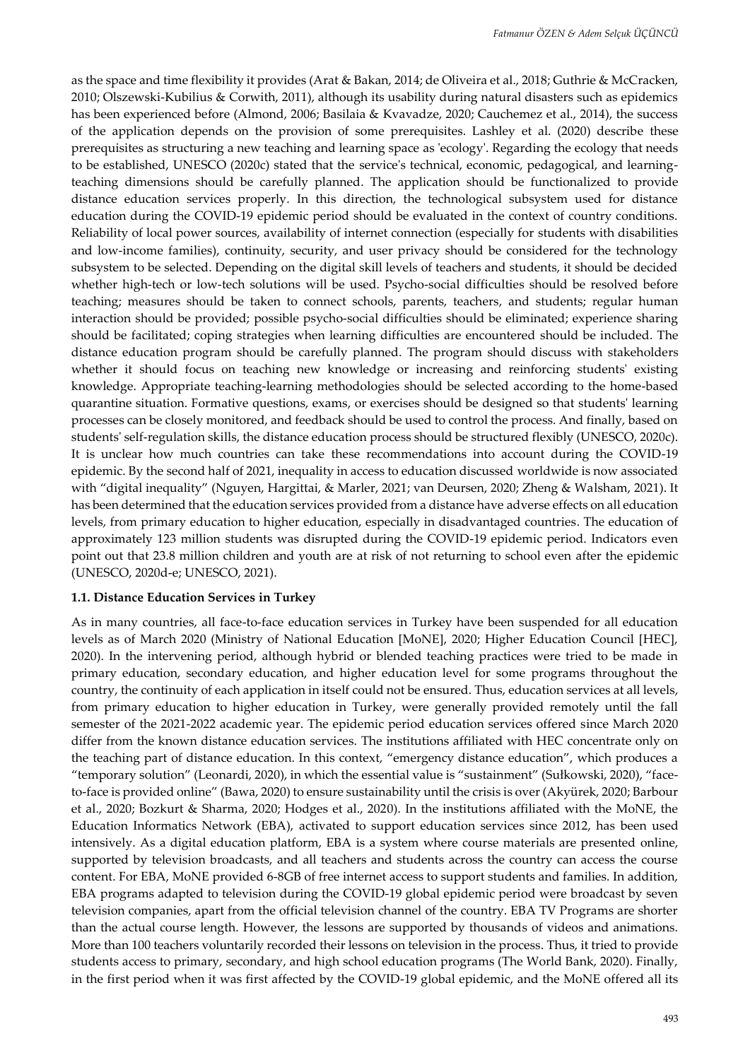as the space and time flexibility it provides (Arat & Bakan, 2014; de Oliveira et al., 2018; Guthrie & McCracken, 2010; Olszewski-Kubilius & Corwith, 2011), although its usability during natural disasters such as epidemics has been experienced before (Almond, 2006; Basilaia & Kvavadze, 2020; Cauchemez et al., 2014), the success of the application depends on the provision of some prerequisites. Lashley et al. (2020) describe these prerequisites as structuring a new teaching and learning space as 'ecology'. Regarding the ecology that needs to be established, UNESCO (2020c) stated that the service's technical, economic, pedagogical, and learningteaching dimensions should be carefully planned. The application should be functionalized to provide distance education services properly. In this direction, the technological subsystem used for distance education during the COVID-19 epidemic period should be evaluated in the context of country conditions. Reliability of local power sources, availability of internet connection (especially for students with disabilities and low-income families), continuity, security, and user privacy should be considered for the technology subsystem to be selected. Depending on the digital skill levels of teachers and students, it should be decided whether high-tech or low-tech solutions will be used. Psycho-social difficulties should be resolved before teaching; measures should be taken to connect schools, parents, teachers, and students; regular human interaction should be provided; possible psycho-social difficulties should be eliminated; experience sharing should be facilitated; coping strategies when learning difficulties are encountered should be included. The distance education program should be carefully planned. The program should discuss with stakeholders whether it should focus on teaching new knowledge or increasing and reinforcing students' existing knowledge. Appropriate teaching-learning methodologies should be selected according to the home-based quarantine situation. Formative questions, exams, or exercises should be designed so that students' learning processes can be closely monitored, and feedback should be used to control the process. And finally, based on students' self-regulation skills, the distance education process should be structured flexibly (UNESCO, 2020c). It is unclear how much countries can take these recommendations into account during the COVID-19 epidemic. By the second half of 2021, inequality in access to education discussed worldwide is now associated with "digital inequality" (Nguyen, Hargittai, & Marler, 2021; van Deursen, 2020; Zheng & Walsham, 2021). It has been determined that the education services provided from a distance have adverse effects on all education levels, from primary education to higher education, especially in disadvantaged countries. The education of approximately 123 million students was disrupted during the COVID-19 epidemic period. Indicators even point out that 23.8 million children and youth are at risk of not returning to school even after the epidemic (UNESCO, 2020d-e; UNESCO, 2021).

#### **1.1. Distance Education Services in Turkey**

As in many countries, all face-to-face education services in Turkey have been suspended for all education levels as of March 2020 (Ministry of National Education [MoNE], 2020; Higher Education Council [HEC], 2020). In the intervening period, although hybrid or blended teaching practices were tried to be made in primary education, secondary education, and higher education level for some programs throughout the country, the continuity of each application in itself could not be ensured. Thus, education services at all levels, from primary education to higher education in Turkey, were generally provided remotely until the fall semester of the 2021-2022 academic year. The epidemic period education services offered since March 2020 differ from the known distance education services. The institutions affiliated with HEC concentrate only on the teaching part of distance education. In this context, "emergency distance education", which produces a "temporary solution" (Leonardi, 2020), in which the essential value is "sustainment" (Sułkowski, 2020), "faceto-face is provided online" (Bawa, 2020) to ensure sustainability until the crisis is over (Akyürek, 2020; Barbour et al., 2020; Bozkurt & Sharma, 2020; Hodges et al., 2020). In the institutions affiliated with the MoNE, the Education Informatics Network (EBA), activated to support education services since 2012, has been used intensively. As a digital education platform, EBA is a system where course materials are presented online, supported by television broadcasts, and all teachers and students across the country can access the course content. For EBA, MoNE provided 6-8GB of free internet access to support students and families. In addition, EBA programs adapted to television during the COVID-19 global epidemic period were broadcast by seven television companies, apart from the official television channel of the country. EBA TV Programs are shorter than the actual course length. However, the lessons are supported by thousands of videos and animations. More than 100 teachers voluntarily recorded their lessons on television in the process. Thus, it tried to provide students access to primary, secondary, and high school education programs (The World Bank, 2020). Finally, in the first period when it was first affected by the COVID-19 global epidemic, and the MoNE offered all its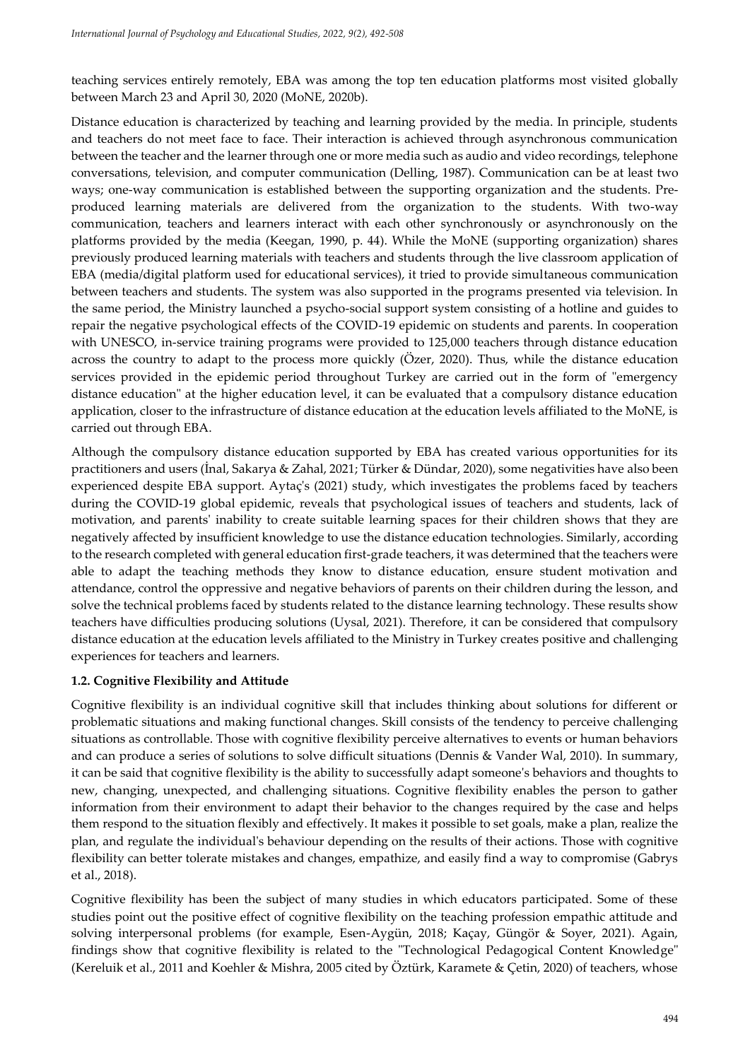teaching services entirely remotely, EBA was among the top ten education platforms most visited globally between March 23 and April 30, 2020 (MoNE, 2020b).

Distance education is characterized by teaching and learning provided by the media. In principle, students and teachers do not meet face to face. Their interaction is achieved through asynchronous communication between the teacher and the learner through one or more media such as audio and video recordings, telephone conversations, television, and computer communication (Delling, 1987). Communication can be at least two ways; one-way communication is established between the supporting organization and the students. Preproduced learning materials are delivered from the organization to the students. With two-way communication, teachers and learners interact with each other synchronously or asynchronously on the platforms provided by the media (Keegan, 1990, p. 44). While the MoNE (supporting organization) shares previously produced learning materials with teachers and students through the live classroom application of EBA (media/digital platform used for educational services), it tried to provide simultaneous communication between teachers and students. The system was also supported in the programs presented via television. In the same period, the Ministry launched a psycho-social support system consisting of a hotline and guides to repair the negative psychological effects of the COVID-19 epidemic on students and parents. In cooperation with UNESCO, in-service training programs were provided to 125,000 teachers through distance education across the country to adapt to the process more quickly (Özer, 2020). Thus, while the distance education services provided in the epidemic period throughout Turkey are carried out in the form of "emergency distance education" at the higher education level, it can be evaluated that a compulsory distance education application, closer to the infrastructure of distance education at the education levels affiliated to the MoNE, is carried out through EBA.

Although the compulsory distance education supported by EBA has created various opportunities for its practitioners and users (İnal, Sakarya & Zahal, 2021; Türker & Dündar, 2020), some negativities have also been experienced despite EBA support. Aytaç's (2021) study, which investigates the problems faced by teachers during the COVID-19 global epidemic, reveals that psychological issues of teachers and students, lack of motivation, and parents' inability to create suitable learning spaces for their children shows that they are negatively affected by insufficient knowledge to use the distance education technologies. Similarly, according to the research completed with general education first-grade teachers, it was determined that the teachers were able to adapt the teaching methods they know to distance education, ensure student motivation and attendance, control the oppressive and negative behaviors of parents on their children during the lesson, and solve the technical problems faced by students related to the distance learning technology. These results show teachers have difficulties producing solutions (Uysal, 2021). Therefore, it can be considered that compulsory distance education at the education levels affiliated to the Ministry in Turkey creates positive and challenging experiences for teachers and learners.

### **1.2. Cognitive Flexibility and Attitude**

Cognitive flexibility is an individual cognitive skill that includes thinking about solutions for different or problematic situations and making functional changes. Skill consists of the tendency to perceive challenging situations as controllable. Those with cognitive flexibility perceive alternatives to events or human behaviors and can produce a series of solutions to solve difficult situations (Dennis & Vander Wal, 2010). In summary, it can be said that cognitive flexibility is the ability to successfully adapt someone's behaviors and thoughts to new, changing, unexpected, and challenging situations. Cognitive flexibility enables the person to gather information from their environment to adapt their behavior to the changes required by the case and helps them respond to the situation flexibly and effectively. It makes it possible to set goals, make a plan, realize the plan, and regulate the individual's behaviour depending on the results of their actions. Those with cognitive flexibility can better tolerate mistakes and changes, empathize, and easily find a way to compromise (Gabrys et al., 2018).

Cognitive flexibility has been the subject of many studies in which educators participated. Some of these studies point out the positive effect of cognitive flexibility on the teaching profession empathic attitude and solving interpersonal problems (for example, Esen-Aygün, 2018; Kaçay, Güngör & Soyer, 2021). Again, findings show that cognitive flexibility is related to the "Technological Pedagogical Content Knowledge" (Kereluik et al., 2011 and Koehler & Mishra, 2005 cited by Öztürk, Karamete & Çetin, 2020) of teachers, whose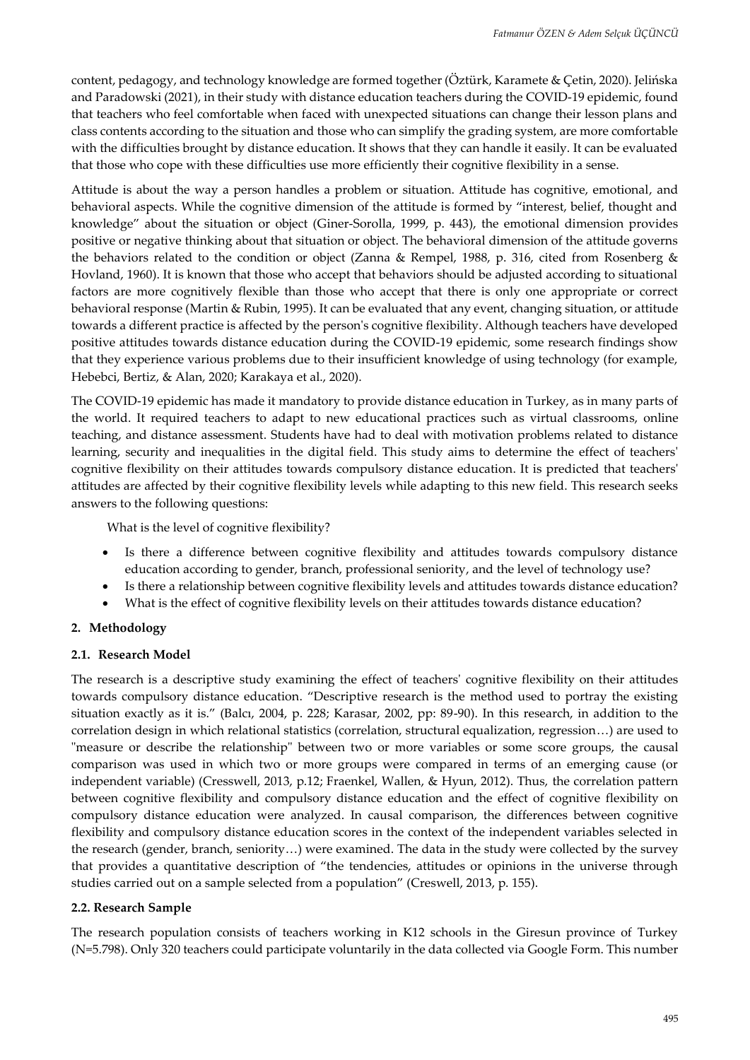content, pedagogy, and technology knowledge are formed together (Öztürk, Karamete & Çetin, 2020). Jelińska and Paradowski (2021), in their study with distance education teachers during the COVID-19 epidemic, found that teachers who feel comfortable when faced with unexpected situations can change their lesson plans and class contents according to the situation and those who can simplify the grading system, are more comfortable with the difficulties brought by distance education. It shows that they can handle it easily. It can be evaluated that those who cope with these difficulties use more efficiently their cognitive flexibility in a sense.

Attitude is about the way a person handles a problem or situation. Attitude has cognitive, emotional, and behavioral aspects. While the cognitive dimension of the attitude is formed by "interest, belief, thought and knowledge" about the situation or object (Giner-Sorolla, 1999, p. 443), the emotional dimension provides positive or negative thinking about that situation or object. The behavioral dimension of the attitude governs the behaviors related to the condition or object (Zanna & Rempel, 1988, p. 316, cited from Rosenberg & Hovland, 1960). It is known that those who accept that behaviors should be adjusted according to situational factors are more cognitively flexible than those who accept that there is only one appropriate or correct behavioral response (Martin & Rubin, 1995). It can be evaluated that any event, changing situation, or attitude towards a different practice is affected by the person's cognitive flexibility. Although teachers have developed positive attitudes towards distance education during the COVID-19 epidemic, some research findings show that they experience various problems due to their insufficient knowledge of using technology (for example, Hebebci, Bertiz, & Alan, 2020; Karakaya et al., 2020).

The COVID-19 epidemic has made it mandatory to provide distance education in Turkey, as in many parts of the world. It required teachers to adapt to new educational practices such as virtual classrooms, online teaching, and distance assessment. Students have had to deal with motivation problems related to distance learning, security and inequalities in the digital field. This study aims to determine the effect of teachers' cognitive flexibility on their attitudes towards compulsory distance education. It is predicted that teachers' attitudes are affected by their cognitive flexibility levels while adapting to this new field. This research seeks answers to the following questions:

What is the level of cognitive flexibility?

- Is there a difference between cognitive flexibility and attitudes towards compulsory distance education according to gender, branch, professional seniority, and the level of technology use?
- Is there a relationship between cognitive flexibility levels and attitudes towards distance education?
- What is the effect of cognitive flexibility levels on their attitudes towards distance education?

#### **2. Methodology**

#### **2.1. Research Model**

The research is a descriptive study examining the effect of teachers' cognitive flexibility on their attitudes towards compulsory distance education. "Descriptive research is the method used to portray the existing situation exactly as it is." (Balcı, 2004, p. 228; Karasar, 2002, pp: 89-90). In this research, in addition to the correlation design in which relational statistics (correlation, structural equalization, regression…) are used to "measure or describe the relationship" between two or more variables or some score groups, the causal comparison was used in which two or more groups were compared in terms of an emerging cause (or independent variable) (Cresswell, 2013, p.12; Fraenkel, Wallen, & Hyun, 2012). Thus, the correlation pattern between cognitive flexibility and compulsory distance education and the effect of cognitive flexibility on compulsory distance education were analyzed. In causal comparison, the differences between cognitive flexibility and compulsory distance education scores in the context of the independent variables selected in the research (gender, branch, seniority…) were examined. The data in the study were collected by the survey that provides a quantitative description of "the tendencies, attitudes or opinions in the universe through studies carried out on a sample selected from a population" (Creswell, 2013, p. 155).

#### **2.2. Research Sample**

The research population consists of teachers working in K12 schools in the Giresun province of Turkey (N=5.798). Only 320 teachers could participate voluntarily in the data collected via Google Form. This number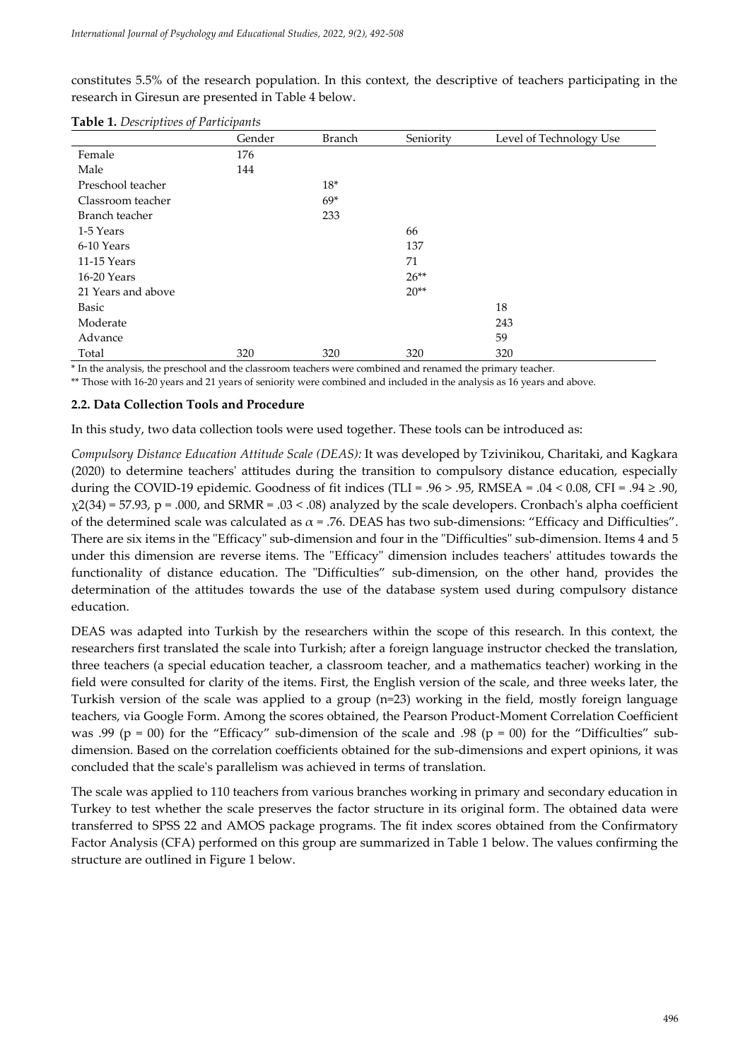constitutes 5.5% of the research population. In this context, the descriptive of teachers participating in the research in Giresun are presented in Table 4 below.

|                    | Gender | <b>Branch</b> | Seniority | Level of Technology Use |
|--------------------|--------|---------------|-----------|-------------------------|
| Female             | 176    |               |           |                         |
| Male               | 144    |               |           |                         |
| Preschool teacher  |        | $18*$         |           |                         |
| Classroom teacher  |        | $69*$         |           |                         |
| Branch teacher     |        | 233           |           |                         |
| 1-5 Years          |        |               | 66        |                         |
| 6-10 Years         |        |               | 137       |                         |
| 11-15 Years        |        |               | 71        |                         |
| 16-20 Years        |        |               | $26**$    |                         |
| 21 Years and above |        |               | $20**$    |                         |
| Basic              |        |               |           | 18                      |
| Moderate           |        |               |           | 243                     |
| Advance            |        |               |           | 59                      |
| Total              | 320    | 320           | 320       | 320                     |

**Table 1.** *Descriptives of Participants*

\* In the analysis, the preschool and the classroom teachers were combined and renamed the primary teacher.

\*\* Those with 16-20 years and 21 years of seniority were combined and included in the analysis as 16 years and above.

#### **2.2. Data Collection Tools and Procedure**

In this study, two data collection tools were used together. These tools can be introduced as:

*Compulsory Distance Education Attitude Scale (DEAS):* It was developed by Tzivinikou, Charitaki, and Kagkara (2020) to determine teachers' attitudes during the transition to compulsory distance education, especially during the COVID-19 epidemic. Goodness of fit indices (TLI = .96 > .95, RMSEA = .04 < 0.08, CFI = .94  $\geq$  .90,  $\chi$ 2(34) = 57.93, p = .000, and SRMR = .03 < .08) analyzed by the scale developers. Cronbach's alpha coefficient of the determined scale was calculated as  $\alpha$  = .76. DEAS has two sub-dimensions: "Efficacy and Difficulties". There are six items in the "Efficacy" sub-dimension and four in the "Difficulties" sub-dimension. Items 4 and 5 under this dimension are reverse items. The "Efficacy" dimension includes teachers' attitudes towards the functionality of distance education. The "Difficulties" sub-dimension, on the other hand, provides the determination of the attitudes towards the use of the database system used during compulsory distance education.

DEAS was adapted into Turkish by the researchers within the scope of this research. In this context, the researchers first translated the scale into Turkish; after a foreign language instructor checked the translation, three teachers (a special education teacher, a classroom teacher, and a mathematics teacher) working in the field were consulted for clarity of the items. First, the English version of the scale, and three weeks later, the Turkish version of the scale was applied to a group (n=23) working in the field, mostly foreign language teachers, via Google Form. Among the scores obtained, the Pearson Product-Moment Correlation Coefficient was .99 (p = 00) for the "Efficacy" sub-dimension of the scale and .98 (p = 00) for the "Difficulties" subdimension. Based on the correlation coefficients obtained for the sub-dimensions and expert opinions, it was concluded that the scale's parallelism was achieved in terms of translation.

The scale was applied to 110 teachers from various branches working in primary and secondary education in Turkey to test whether the scale preserves the factor structure in its original form. The obtained data were transferred to SPSS 22 and AMOS package programs. The fit index scores obtained from the Confirmatory Factor Analysis (CFA) performed on this group are summarized in Table 1 below. The values confirming the structure are outlined in Figure 1 below.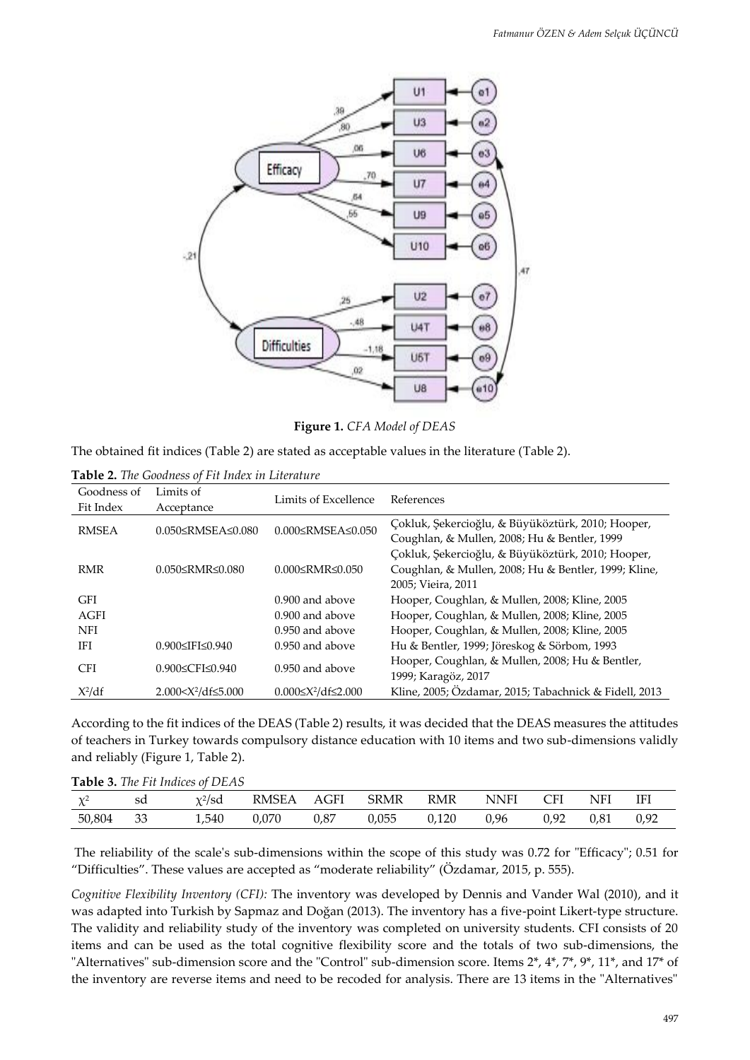

**Figure 1.** *CFA Model of DEAS*

The obtained fit indices (Table 2) are stated as acceptable values in the literature (Table 2).

**Table 2.** *The Goodness of Fit Index in Literature*

| Goodness of<br>Fit Index | Limits of<br>Acceptance       | Limits of Excellence                  | References                                            |
|--------------------------|-------------------------------|---------------------------------------|-------------------------------------------------------|
| <b>RMSEA</b>             | $0.050 \leq RMSEA \leq 0.080$ | 0.000≤RMSEA≤0.050                     | Çokluk, Şekercioğlu, & Büyüköztürk, 2010; Hooper,     |
|                          |                               |                                       | Coughlan, & Mullen, 2008; Hu & Bentler, 1999          |
|                          |                               |                                       | Çokluk, Şekercioğlu, & Büyüköztürk, 2010; Hooper,     |
| <b>RMR</b>               | $0.050 \leq$ RMR $\leq 0.080$ | $0.000 \leq \text{RMR} \leq 0.050$    | Coughlan, & Mullen, 2008; Hu & Bentler, 1999; Kline,  |
|                          |                               |                                       | 2005; Vieira, 2011                                    |
| GFI                      |                               | $0.900$ and above                     | Hooper, Coughlan, & Mullen, 2008; Kline, 2005         |
| AGFI                     |                               | $0.900$ and above                     | Hooper, Coughlan, & Mullen, 2008; Kline, 2005         |
| <b>NFI</b>               |                               | $0.950$ and above                     | Hooper, Coughlan, & Mullen, 2008; Kline, 2005         |
| IFI                      | 0.900≤IFI≤0.940               | $0.950$ and above                     | Hu & Bentler, 1999; Jöreskog & Sörbom, 1993           |
| <b>CFI</b>               | $0.900 \le CFI \le 0.940$     | $0.950$ and above                     | Hooper, Coughlan, & Mullen, 2008; Hu & Bentler,       |
|                          |                               |                                       | 1999; Karagöz, 2017                                   |
| $X^2/df$                 | $2.000 < X^2/df \le 5.000$    | $0.000 \leq X^2/\text{df} \leq 2.000$ | Kline, 2005; Özdamar, 2015; Tabachnick & Fidell, 2013 |

According to the fit indices of the DEAS (Table 2) results, it was decided that the DEAS measures the attitudes of teachers in Turkey towards compulsory distance education with 10 items and two sub-dimensions validly and reliably (Figure 1, Table 2).

|          |     | <b>Table 3.</b> The Fit Indices of DEAS |            |      |             |       |      |      |            |      |
|----------|-----|-----------------------------------------|------------|------|-------------|-------|------|------|------------|------|
| $\chi^2$ | sd  | $\chi^2/\text{sd}$                      | RMSEA AGFI |      | <b>SRMR</b> | RMR   | NNFI | CFI  | <b>NFI</b> | IFI  |
| 50,804   | -33 | 1.540                                   | 0.070      | 0.87 | 0.055       | 0.120 | 0.96 | 0.92 | 0.81       | 0.92 |

The reliability of the scale's sub-dimensions within the scope of this study was 0.72 for "Efficacy"; 0.51 for "Difficulties". These values are accepted as "moderate reliability" (Özdamar, 2015, p. 555).

*Cognitive Flexibility Inventory (CFI):* The inventory was developed by Dennis and Vander Wal (2010), and it was adapted into Turkish by Sapmaz and Doğan (2013). The inventory has a five-point Likert-type structure. The validity and reliability study of the inventory was completed on university students. CFI consists of 20 items and can be used as the total cognitive flexibility score and the totals of two sub-dimensions, the "Alternatives" sub-dimension score and the "Control" sub-dimension score. Items 2\*, 4\*, 7\*, 9\*, 11\*, and 17\* of the inventory are reverse items and need to be recoded for analysis. There are 13 items in the "Alternatives"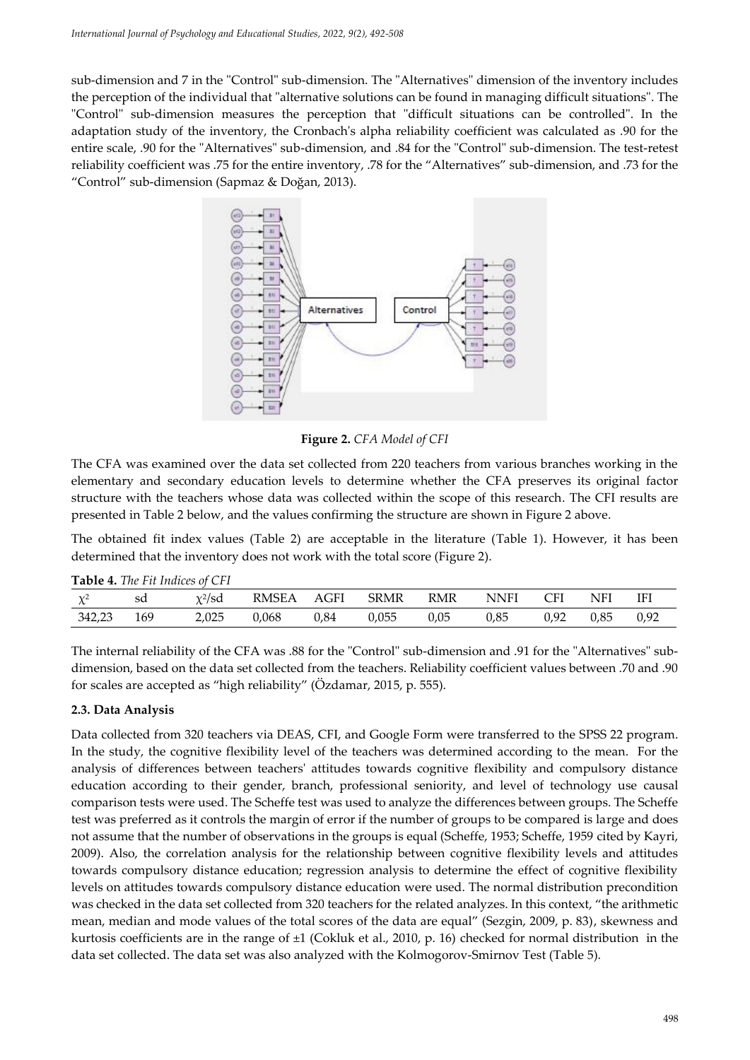sub-dimension and 7 in the "Control" sub-dimension. The "Alternatives" dimension of the inventory includes the perception of the individual that "alternative solutions can be found in managing difficult situations". The "Control" sub-dimension measures the perception that "difficult situations can be controlled". In the adaptation study of the inventory, the Cronbach's alpha reliability coefficient was calculated as .90 for the entire scale, .90 for the "Alternatives" sub-dimension, and .84 for the "Control" sub-dimension. The test-retest reliability coefficient was .75 for the entire inventory, .78 for the "Alternatives" sub-dimension, and .73 for the "Control" sub-dimension (Sapmaz & Doğan, 2013).



**Figure 2.** *CFA Model of CFI*

The CFA was examined over the data set collected from 220 teachers from various branches working in the elementary and secondary education levels to determine whether the CFA preserves its original factor structure with the teachers whose data was collected within the scope of this research. The CFI results are presented in Table 2 below, and the values confirming the structure are shown in Figure 2 above.

The obtained fit index values (Table 2) are acceptable in the literature (Table 1). However, it has been determined that the inventory does not work with the total score (Figure 2).

| <b>Table 4.</b> The F <sub>tt</sub> Indices of CFI |     |              |              |      |             |      |      |      |      |      |
|----------------------------------------------------|-----|--------------|--------------|------|-------------|------|------|------|------|------|
| $\gamma$ /2                                        | sd  | $\chi^2$ /sd | <b>RMSEA</b> | AGFI | <b>SRMR</b> | RMR  | NNFI | CFI  | NFI  | IFI  |
| 342,23                                             | 169 | 2,025        | 0,068        | 0,84 | 0,055       | 0.05 | 0,85 | 0,92 | 0,85 | 0,92 |

**Table 4.** *The Fit Indices of CFI*

The internal reliability of the CFA was .88 for the "Control" sub-dimension and .91 for the "Alternatives" subdimension, based on the data set collected from the teachers. Reliability coefficient values between .70 and .90 for scales are accepted as "high reliability" (Özdamar, 2015, p. 555).

### **2.3. Data Analysis**

Data collected from 320 teachers via DEAS, CFI, and Google Form were transferred to the SPSS 22 program. In the study, the cognitive flexibility level of the teachers was determined according to the mean. For the analysis of differences between teachers' attitudes towards cognitive flexibility and compulsory distance education according to their gender, branch, professional seniority, and level of technology use causal comparison tests were used. The Scheffe test was used to analyze the differences between groups. The Scheffe test was preferred as it controls the margin of error if the number of groups to be compared is large and does not assume that the number of observations in the groups is equal (Scheffe, 1953; Scheffe, 1959 cited by Kayri, 2009). Also, the correlation analysis for the relationship between cognitive flexibility levels and attitudes towards compulsory distance education; regression analysis to determine the effect of cognitive flexibility levels on attitudes towards compulsory distance education were used. The normal distribution precondition was checked in the data set collected from 320 teachers for the related analyzes. In this context, "the arithmetic mean, median and mode values of the total scores of the data are equal" (Sezgin, 2009, p. 83), skewness and kurtosis coefficients are in the range of  $\pm 1$  (Cokluk et al., 2010, p. 16) checked for normal distribution in the data set collected. The data set was also analyzed with the Kolmogorov-Smirnov Test (Table 5).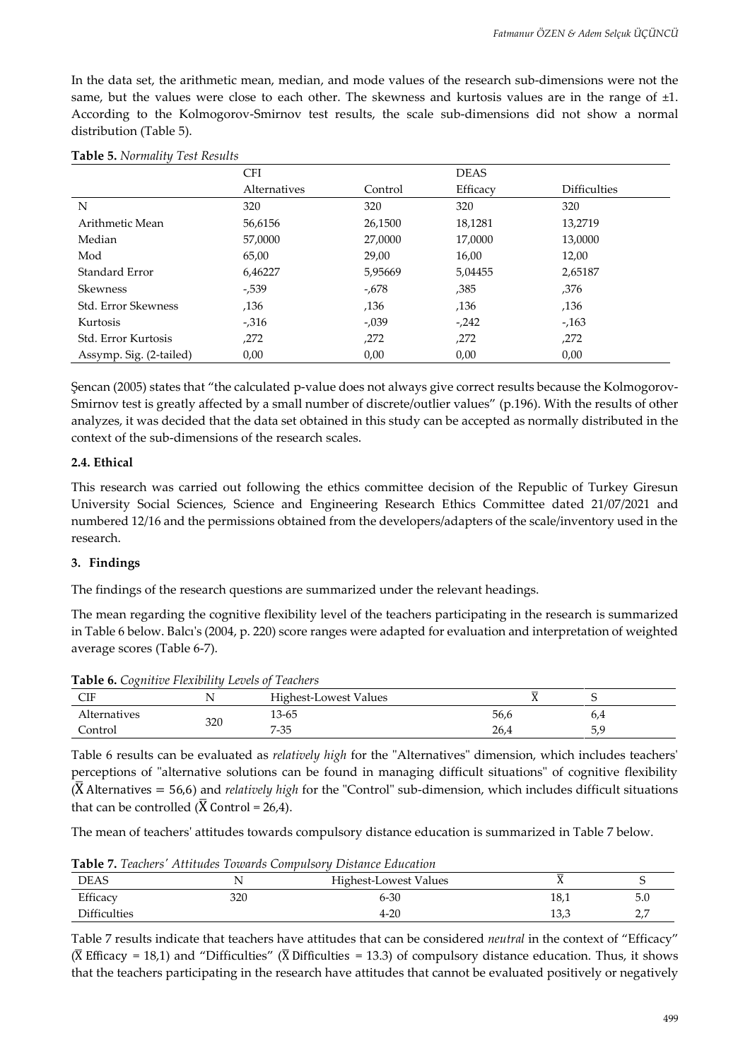In the data set, the arithmetic mean, median, and mode values of the research sub-dimensions were not the same, but the values were close to each other. The skewness and kurtosis values are in the range of  $\pm 1$ . According to the Kolmogorov-Smirnov test results, the scale sub-dimensions did not show a normal distribution (Table 5).

|                            | <b>CFI</b>   |         | <b>DEAS</b> |                     |  |
|----------------------------|--------------|---------|-------------|---------------------|--|
|                            | Alternatives | Control | Efficacy    | <b>Difficulties</b> |  |
| N                          | 320          | 320     | 320         | 320                 |  |
| Arithmetic Mean            | 56,6156      | 26,1500 | 18,1281     | 13.2719             |  |
| Median                     | 57,0000      | 27,0000 | 17,0000     | 13,0000             |  |
| Mod                        | 65,00        | 29,00   | 16,00       | 12,00               |  |
| Standard Error             | 6,46227      | 5,95669 | 5,04455     | 2,65187             |  |
| Skewness                   | $-0.539$     | -,678   | ,385        | ,376                |  |
| <b>Std. Error Skewness</b> | ,136         | ,136    | ,136        | ,136                |  |
| Kurtosis                   | $-0.316$     | $-.039$ | $-242$      | $-163$              |  |
| <b>Std. Error Kurtosis</b> | ,272         | ,272    | ,272        | ,272                |  |
| Assymp. Sig. (2-tailed)    | 0,00         | 0,00    | 0,00        | 0,00                |  |

Şencan (2005) states that "the calculated p-value does not always give correct results because the Kolmogorov-Smirnov test is greatly affected by a small number of discrete/outlier values" (p.196). With the results of other analyzes, it was decided that the data set obtained in this study can be accepted as normally distributed in the context of the sub-dimensions of the research scales.

#### **2.4. Ethical**

This research was carried out following the ethics committee decision of the Republic of Turkey Giresun University Social Sciences, Science and Engineering Research Ethics Committee dated 21/07/2021 and numbered 12/16 and the permissions obtained from the developers/adapters of the scale/inventory used in the research.

#### **3. Findings**

The findings of the research questions are summarized under the relevant headings.

The mean regarding the cognitive flexibility level of the teachers participating in the research is summarized in Table 6 below. Balcı's (2004, p. 220) score ranges were adapted for evaluation and interpretation of weighted average scores (Table 6-7).

| <b>THE TUBE OF CONTRACT LEADERS</b> HOWEVER THE CONCILIUS |     |                       |      |     |  |  |  |
|-----------------------------------------------------------|-----|-----------------------|------|-----|--|--|--|
| CIF                                                       |     | Highest-Lowest Values |      |     |  |  |  |
| Alternatives                                              | 320 | 13-65                 | 56,6 | O,4 |  |  |  |
| Control                                                   |     | 7-35                  | 26,4 |     |  |  |  |

**Table 6.** *Cognitive Flexibility Levels of Teachers*

Table 6 results can be evaluated as *relatively high* for the "Alternatives" dimension, which includes teachers' perceptions of "alternative solutions can be found in managing difficult situations" of cognitive flexibility  $(\overline{X}$  Alternatives = 56,6) and *relatively high* for the "Control" sub-dimension, which includes difficult situations that can be controlled ( $\overline{X}$  Control = 26,4).

The mean of teachers' attitudes towards compulsory distance education is summarized in Table 7 below.

**Table 7.** *Teachers' Attitudes Towards Compulsory Distance Education*

| <b>DEAS</b>         |     | Highest-Lowest Values |      |                 |
|---------------------|-----|-----------------------|------|-----------------|
| Efficacy            | 320 | $6 - 30$              | 18,1 | 5.0             |
| <b>Difficulties</b> |     | $4 - 20$              | 13,3 | $\sim$ $\prime$ |

Table 7 results indicate that teachers have attitudes that can be considered *neutral* in the context of "Efficacy" ( $\overline{X}$  Efficacy = 18,1) and "Difficulties" ( $\overline{X}$  Difficulties = 13.3) of compulsory distance education. Thus, it shows that the teachers participating in the research have attitudes that cannot be evaluated positively or negatively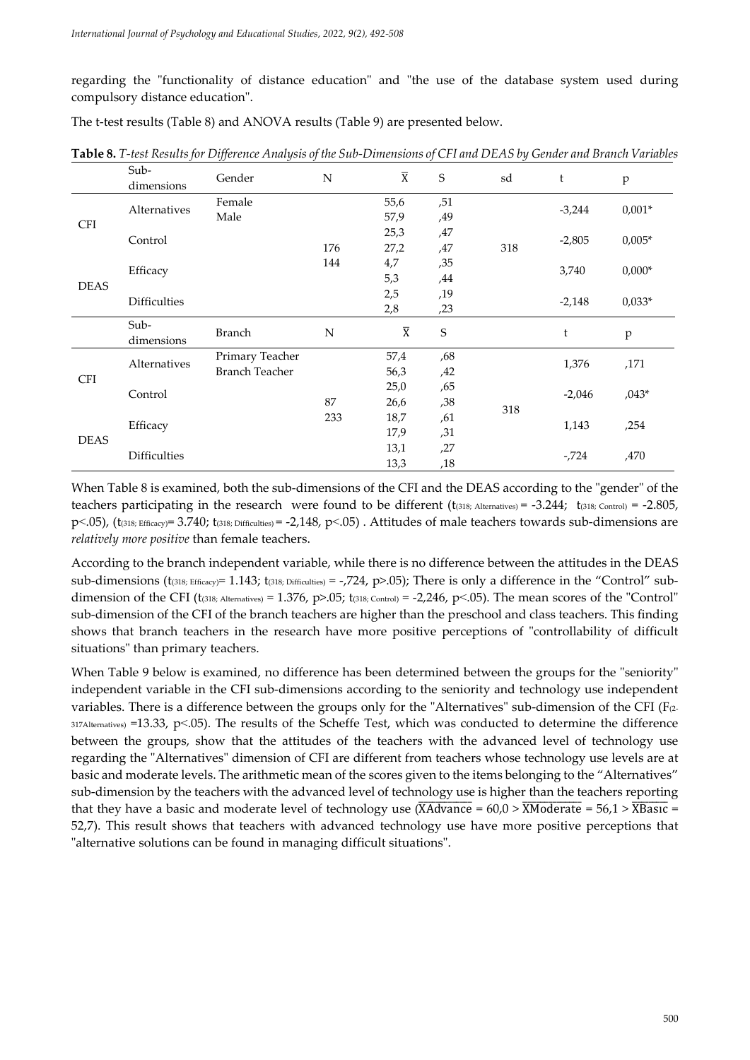regarding the "functionality of distance education" and "the use of the database system used during compulsory distance education".

The t-test results (Table 8) and ANOVA results (Table 9) are presented below.

|                                                | Sub-                | Gender                | N   | $\overline{X}$        | $\mathsf S$ | sd    | t        | $\mathbf{p}$ |  |
|------------------------------------------------|---------------------|-----------------------|-----|-----------------------|-------------|-------|----------|--------------|--|
|                                                | dimensions          |                       |     |                       |             |       |          |              |  |
|                                                | Alternatives        | Female                |     | 55,6                  | ,51         |       | $-3,244$ | $0,001*$     |  |
| <b>CFI</b>                                     |                     | Male                  |     | 57,9                  | ,49         |       |          |              |  |
|                                                | Control             |                       |     | 25,3                  | ,47         |       | $-2,805$ | $0,005*$     |  |
|                                                |                     |                       | 176 | 27,2                  | ,47         | 318   |          |              |  |
| Efficacy<br><b>DEAS</b><br><b>Difficulties</b> |                     | 144                   | 4,7 | ,35                   |             | 3,740 | $0,000*$ |              |  |
|                                                |                     |                       |     | 5,3                   | ,44         |       |          |              |  |
|                                                |                     |                       |     | 2,5                   | ,19         |       | $-2,148$ | $0,033*$     |  |
|                                                |                     |                       |     | 2,8                   | ,23         |       |          |              |  |
| Sub-                                           |                     |                       |     |                       |             |       |          |              |  |
|                                                |                     |                       |     |                       |             |       |          |              |  |
|                                                | dimensions          | <b>Branch</b>         | N   | $\overline{\text{X}}$ | S           |       | t        | $\, {\bf p}$ |  |
|                                                |                     | Primary Teacher       |     | 57,4                  | ,68         |       |          |              |  |
|                                                | Alternatives        | <b>Branch Teacher</b> |     | 56,3                  | ,42         |       | 1,376    | ,171         |  |
| <b>CFI</b>                                     |                     |                       |     | 25,0                  | ,65         |       |          |              |  |
|                                                | Control             |                       | 87  | 26,6                  | ,38         |       | $-2,046$ | $,043*$      |  |
|                                                |                     |                       | 233 | 18,7                  | ,61         | 318   |          |              |  |
|                                                | Efficacy            |                       |     | 17,9                  | ,31         |       | 1,143    | ,254         |  |
| <b>DEAS</b>                                    | <b>Difficulties</b> |                       |     | 13,1                  | ,27         |       | -,724    | ,470         |  |

**Table 8.** T-test Results for Difference Analysis of the Sub-Dimensions of CFI and DEAS by Gender and Branch Variables

When Table 8 is examined, both the sub-dimensions of the CFI and the DEAS according to the "gender" of the teachers participating in the research were found to be different  $(t_{(318; \text{ Alternatives})} = -3.244; t_{(318; \text{ Control})} = -2.805$ ,  $p<.05$ ), (t(318; Efficacy)= 3.740; t(318; Difficulties) = -2,148,  $p<.05$ ). Attitudes of male teachers towards sub-dimensions are *relatively more positive* than female teachers.

According to the branch independent variable, while there is no difference between the attitudes in the DEAS sub-dimensions ( $t_{(318; Efficacy)}$ = 1.143;  $t_{(318; Efficalties)}$  = -,724, p>.05); There is only a difference in the "Control" subdimension of the CFI ( $t_{(318; \text{Alternatives})} = 1.376$ ,  $p > .05$ ;  $t_{(318; \text{Control})} = -2.246$ ,  $p < .05$ ). The mean scores of the "Control" sub-dimension of the CFI of the branch teachers are higher than the preschool and class teachers. This finding shows that branch teachers in the research have more positive perceptions of "controllability of difficult situations" than primary teachers.

When Table 9 below is examined, no difference has been determined between the groups for the "seniority" independent variable in the CFI sub-dimensions according to the seniority and technology use independent variables. There is a difference between the groups only for the "Alternatives" sub-dimension of the CFI (F(2- $317$ Alternatives) =13.33, p  $\lt$ .05). The results of the Scheffe Test, which was conducted to determine the difference between the groups, show that the attitudes of the teachers with the advanced level of technology use regarding the "Alternatives" dimension of CFI are different from teachers whose technology use levels are at basic and moderate levels. The arithmetic mean of the scores given to the items belonging to the "Alternatives" sub-dimension by the teachers with the advanced level of technology use is higher than the teachers reporting that they have a basic and moderate level of technology use  $(\overline{X}$ Advance = 60,0 >  $\overline{X}$ Moderate = 56,1 >  $\overline{X}$ Basic = 52,7). This result shows that teachers with advanced technology use have more positive perceptions that "alternative solutions can be found in managing difficult situations".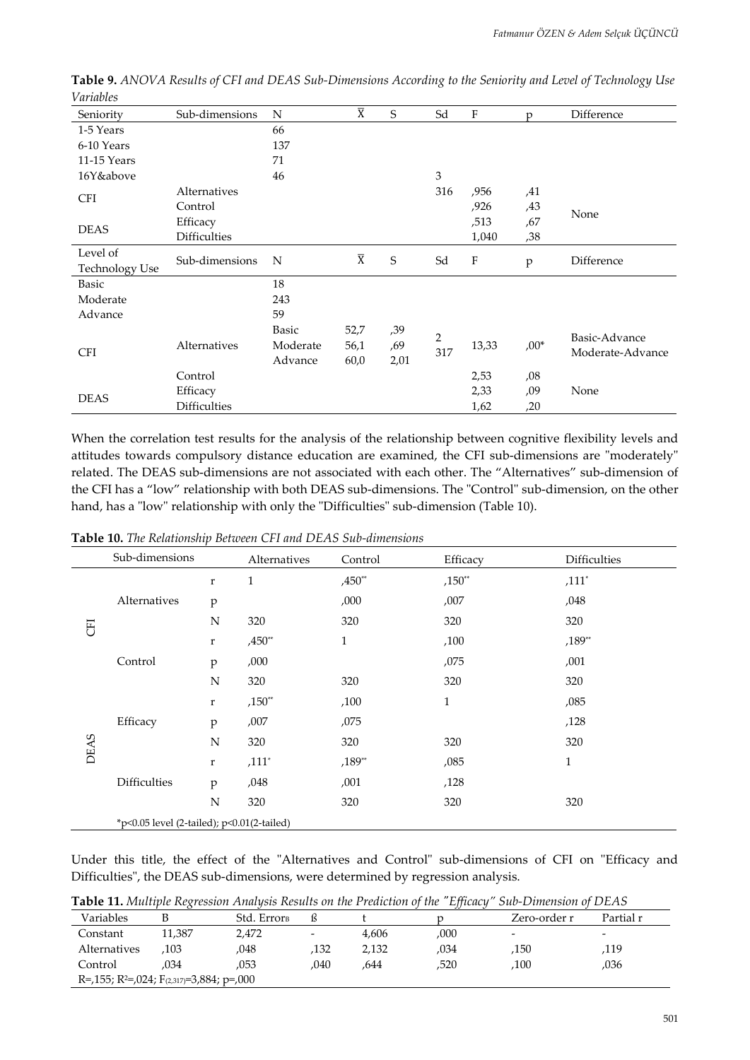| Seniority             | Sub-dimensions      | $\mathbb N$ | $\overline{\text{X}}$ | S    | Sd             | $\rm F$                   | D      | Difference       |
|-----------------------|---------------------|-------------|-----------------------|------|----------------|---------------------------|--------|------------------|
| 1-5 Years             |                     | 66          |                       |      |                |                           |        |                  |
| 6-10 Years            |                     | 137         |                       |      |                |                           |        |                  |
| 11-15 Years           |                     | 71          |                       |      |                |                           |        |                  |
| 16Y&above             |                     | 46          |                       |      | $\mathfrak{Z}$ |                           |        |                  |
| <b>CFI</b>            | Alternatives        |             |                       |      | 316            | ,956                      | ,41    |                  |
|                       | Control             |             |                       |      |                | ,926                      | ,43    | None             |
| <b>DEAS</b>           | Efficacy            |             |                       |      |                | ,513                      | ,67    |                  |
|                       | <b>Difficulties</b> |             |                       |      |                | 1,040                     | ,38    |                  |
| Level of              | Sub-dimensions      | N           | $\overline{X}$        | S    | Sd             | $\boldsymbol{\mathrm{F}}$ |        | Difference       |
| <b>Technology Use</b> |                     |             |                       |      |                |                           | p      |                  |
| Basic                 |                     | 18          |                       |      |                |                           |        |                  |
| Moderate              |                     | 243         |                       |      |                |                           |        |                  |
| Advance               |                     | 59          |                       |      |                |                           |        |                  |
|                       |                     | Basic       | 52,7                  | ,39  | $\overline{2}$ |                           |        | Basic-Advance    |
| <b>CFI</b>            | Alternatives        | Moderate    | 56,1                  | ,69  | 317            | 13,33                     | $,00*$ | Moderate-Advance |
|                       |                     | Advance     | 60,0                  | 2,01 |                |                           |        |                  |
|                       | Control             |             |                       |      |                | 2,53                      | ,08    |                  |
| <b>DEAS</b>           | Efficacy            |             |                       |      |                | 2,33                      | ,09    | None             |
|                       | <b>Difficulties</b> |             |                       |      |                | 1,62                      | ,20    |                  |

Table 9. ANOVA Results of CFI and DEAS Sub-Dimensions According to the Seniority and Level of Technology Use *Variables*

When the correlation test results for the analysis of the relationship between cognitive flexibility levels and attitudes towards compulsory distance education are examined, the CFI sub-dimensions are "moderately" related. The DEAS sub-dimensions are not associated with each other. The "Alternatives" sub-dimension of the CFI has a "low" relationship with both DEAS sub-dimensions. The "Control" sub-dimension, on the other hand, has a "low" relationship with only the "Difficulties" sub-dimension (Table 10).

**Table 10.** *The Relationship Between CFI and DEAS Sub-dimensions*

|              | Sub-dimensions                             |              | Alternatives | Control      | Efficacy     | <b>Difficulties</b> |
|--------------|--------------------------------------------|--------------|--------------|--------------|--------------|---------------------|
|              |                                            | $\mathbf r$  | $\mathbf{1}$ | $,450**$     | $,150**$     | $,111*$             |
| Alternatives | $\rm p$                                    |              | ,000         | ,007         | ,048         |                     |
| E            |                                            | N            | 320          | 320          | 320          | 320                 |
|              |                                            | $\mathbf r$  | $,450**$     | $\mathbf{1}$ | ,100         | $,189**$            |
|              | Control                                    | p            | ,000         |              | ,075         | ,001                |
|              |                                            | N            | 320          | 320          | 320          | 320                 |
|              |                                            | $\mathbf r$  | $,150**$     | ,100         | $\mathbf{1}$ | ,085                |
|              | Efficacy                                   | $\mathbf{p}$ | ,007         | ,075         |              | ,128                |
| <b>DEAS</b>  |                                            | N            | 320          | 320          | 320          | 320                 |
|              |                                            | $\bf r$      | $,111*$      | $,189**$     | ,085         | $\mathbf{1}$        |
|              | <b>Difficulties</b>                        | $\mathbf{p}$ | ,048         | ,001         | ,128         |                     |
|              |                                            | N            | 320          | 320          | 320          | 320                 |
|              | *p<0.05 level (2-tailed); p<0.01(2-tailed) |              |              |              |              |                     |

Under this title, the effect of the "Alternatives and Control" sub-dimensions of CFI on "Efficacy and Difficulties", the DEAS sub-dimensions, were determined by regression analysis.

**Table 11.** *Multiple Regression Analysis Results on the Prediction of the "Efficacy" Sub-Dimension of DEAS*

|                                                                   | -----------------<br>---- |                         |                          |       |      |                          |                          |  |  |  |  |
|-------------------------------------------------------------------|---------------------------|-------------------------|--------------------------|-------|------|--------------------------|--------------------------|--|--|--|--|
| Variables                                                         |                           | Std. Error <sub>B</sub> |                          |       |      | Zero-order r             | Partial r                |  |  |  |  |
| Constant                                                          | 11.387                    | 2,472                   | $\overline{\phantom{0}}$ | 4.606 | ,000 | $\overline{\phantom{0}}$ | $\overline{\phantom{0}}$ |  |  |  |  |
| Alternatives                                                      | .103                      | .048                    | 132                      | 2,132 | .034 | ,150                     | 119.                     |  |  |  |  |
| Control                                                           | .034                      | .053                    | 040                      | .644  | ,520 | .100                     | ,036                     |  |  |  |  |
| R=,155; R <sup>2</sup> =,024; F <sub>(2,317)</sub> =3,884; p=,000 |                           |                         |                          |       |      |                          |                          |  |  |  |  |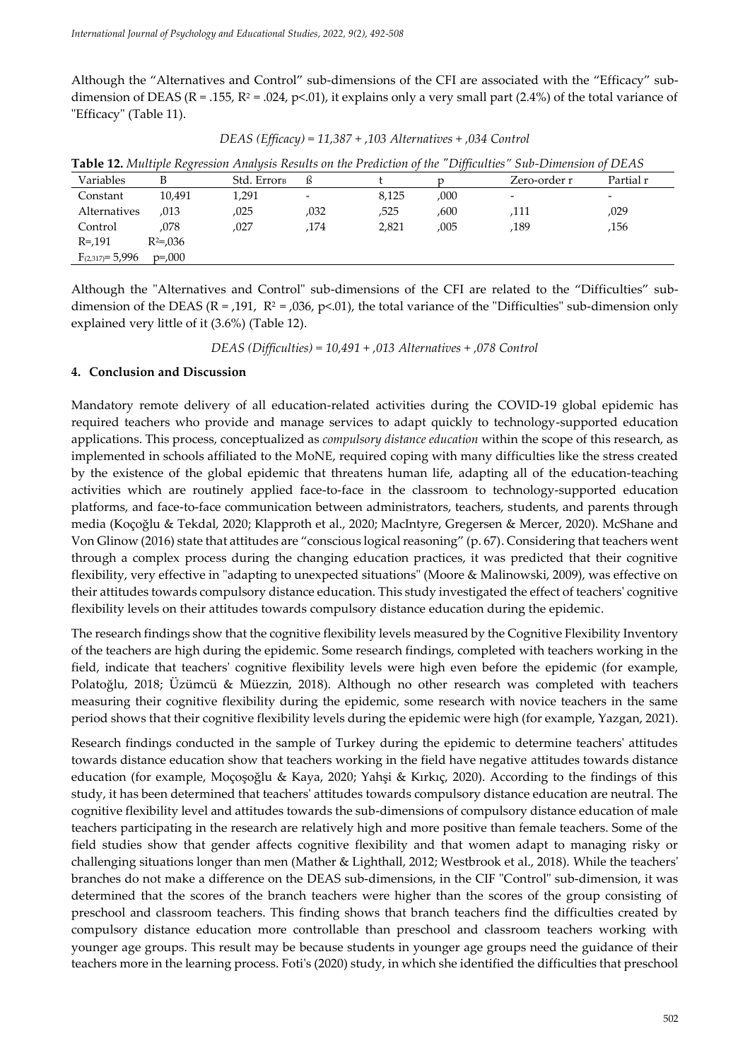Although the "Alternatives and Control" sub-dimensions of the CFI are associated with the "Efficacy" subdimension of DEAS (R = .155, R<sup>2</sup> = .024, p<.01), it explains only a very small part (2.4%) of the total variance of "Efficacy" (Table 11).

|  | DEAS (Efficacy) = $11,387 + 0.103$ Alternatives + 0.034 Control |
|--|-----------------------------------------------------------------|
|--|-----------------------------------------------------------------|

| <b>Table 12.</b> Multiple Regression Analysis Results on the Prediction of the "Difficulties" Sub-Dimension of DEAS |               |             |      |       |      |                          |                          |  |
|---------------------------------------------------------------------------------------------------------------------|---------------|-------------|------|-------|------|--------------------------|--------------------------|--|
| Variables                                                                                                           |               | Std. Errorв |      |       |      | Zero-order r             | Partial r                |  |
| Constant                                                                                                            | 10.491        | 1,291       |      | 8,125 | ,000 | $\overline{\phantom{a}}$ | $\overline{\phantom{a}}$ |  |
| Alternatives                                                                                                        | ,013          | ,025        | ,032 | ,525  | ,600 | 111,                     | ,029                     |  |
| Control                                                                                                             | .078          | .027        | .174 | 2.821 | ,005 | .189                     | .156                     |  |
| $R = 191$                                                                                                           | $R^2 = 0.036$ |             |      |       |      |                          |                          |  |
| $F_{(2,317)} = 5,996$                                                                                               | $p = 000$     |             |      |       |      |                          |                          |  |
|                                                                                                                     |               |             |      |       |      |                          |                          |  |

|  | $12$ Multiple Reoression Anglusis Results on the Prediction of the "Difficulties" Sub-Dimension of $\Gamma$ |  |  |  |  |  |
|--|-------------------------------------------------------------------------------------------------------------|--|--|--|--|--|

Although the "Alternatives and Control" sub-dimensions of the CFI are related to the "Difficulties" subdimension of the DEAS ( $R = 191$ ,  $R^2 = 0.036$ ,  $p < 01$ ), the total variance of the "Difficulties" sub-dimension only explained very little of it (3.6%) (Table 12).

*DEAS (Difficulties) = 10,491 + ,013 Alternatives + ,078 Control*

#### **4. Conclusion and Discussion**

Mandatory remote delivery of all education-related activities during the COVID-19 global epidemic has required teachers who provide and manage services to adapt quickly to technology-supported education applications. This process, conceptualized as *compulsory distance education* within the scope of this research, as implemented in schools affiliated to the MoNE, required coping with many difficulties like the stress created by the existence of the global epidemic that threatens human life, adapting all of the education-teaching activities which are routinely applied face-to-face in the classroom to technology-supported education platforms, and face-to-face communication between administrators, teachers, students, and parents through media (Koçoğlu & Tekdal, 2020; Klapproth et al., 2020; MacIntyre, Gregersen & Mercer, 2020). McShane and Von Glinow (2016) state that attitudes are "conscious logical reasoning" (p. 67). Considering that teachers went through a complex process during the changing education practices, it was predicted that their cognitive flexibility, very effective in "adapting to unexpected situations" (Moore & Malinowski, 2009), was effective on their attitudes towards compulsory distance education. This study investigated the effect of teachers' cognitive flexibility levels on their attitudes towards compulsory distance education during the epidemic.

The research findings show that the cognitive flexibility levels measured by the Cognitive Flexibility Inventory of the teachers are high during the epidemic. Some research findings, completed with teachers working in the field, indicate that teachers' cognitive flexibility levels were high even before the epidemic (for example, Polatoğlu, 2018; Üzümcü & Müezzin, 2018). Although no other research was completed with teachers measuring their cognitive flexibility during the epidemic, some research with novice teachers in the same period shows that their cognitive flexibility levels during the epidemic were high (for example, Yazgan, 2021).

Research findings conducted in the sample of Turkey during the epidemic to determine teachers' attitudes towards distance education show that teachers working in the field have negative attitudes towards distance education (for example, Moçoşoğlu & Kaya, 2020; Yahşi & Kırkıç, 2020). According to the findings of this study, it has been determined that teachers' attitudes towards compulsory distance education are neutral. The cognitive flexibility level and attitudes towards the sub-dimensions of compulsory distance education of male teachers participating in the research are relatively high and more positive than female teachers. Some of the field studies show that gender affects cognitive flexibility and that women adapt to managing risky or challenging situations longer than men (Mather & Lighthall, 2012; Westbrook et al., 2018). While the teachers' branches do not make a difference on the DEAS sub-dimensions, in the CIF "Control" sub-dimension, it was determined that the scores of the branch teachers were higher than the scores of the group consisting of preschool and classroom teachers. This finding shows that branch teachers find the difficulties created by compulsory distance education more controllable than preschool and classroom teachers working with younger age groups. This result may be because students in younger age groups need the guidance of their teachers more in the learning process. Foti's (2020) study, in which she identified the difficulties that preschool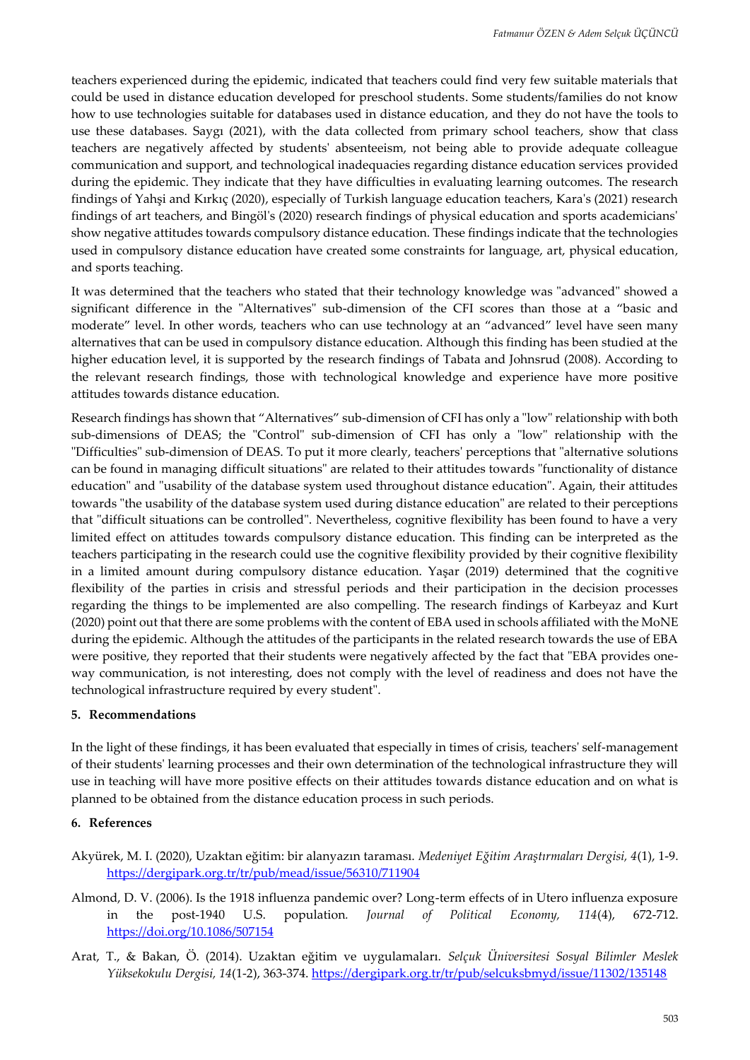teachers experienced during the epidemic, indicated that teachers could find very few suitable materials that could be used in distance education developed for preschool students. Some students/families do not know how to use technologies suitable for databases used in distance education, and they do not have the tools to use these databases. Saygı (2021), with the data collected from primary school teachers, show that class teachers are negatively affected by students' absenteeism, not being able to provide adequate colleague communication and support, and technological inadequacies regarding distance education services provided during the epidemic. They indicate that they have difficulties in evaluating learning outcomes. The research findings of Yahşi and Kırkıç (2020), especially of Turkish language education teachers, Kara's (2021) research findings of art teachers, and Bingöl's (2020) research findings of physical education and sports academicians' show negative attitudes towards compulsory distance education. These findings indicate that the technologies used in compulsory distance education have created some constraints for language, art, physical education, and sports teaching.

It was determined that the teachers who stated that their technology knowledge was "advanced" showed a significant difference in the "Alternatives" sub-dimension of the CFI scores than those at a "basic and moderate" level. In other words, teachers who can use technology at an "advanced" level have seen many alternatives that can be used in compulsory distance education. Although this finding has been studied at the higher education level, it is supported by the research findings of Tabata and Johnsrud (2008). According to the relevant research findings, those with technological knowledge and experience have more positive attitudes towards distance education.

Research findings has shown that "Alternatives" sub-dimension of CFI has only a "low" relationship with both sub-dimensions of DEAS; the "Control" sub-dimension of CFI has only a "low" relationship with the "Difficulties" sub-dimension of DEAS. To put it more clearly, teachers' perceptions that "alternative solutions can be found in managing difficult situations" are related to their attitudes towards "functionality of distance education" and "usability of the database system used throughout distance education". Again, their attitudes towards "the usability of the database system used during distance education" are related to their perceptions that "difficult situations can be controlled". Nevertheless, cognitive flexibility has been found to have a very limited effect on attitudes towards compulsory distance education. This finding can be interpreted as the teachers participating in the research could use the cognitive flexibility provided by their cognitive flexibility in a limited amount during compulsory distance education. Yaşar (2019) determined that the cognitive flexibility of the parties in crisis and stressful periods and their participation in the decision processes regarding the things to be implemented are also compelling. The research findings of Karbeyaz and Kurt (2020) point out that there are some problems with the content of EBA used in schools affiliated with the MoNE during the epidemic. Although the attitudes of the participants in the related research towards the use of EBA were positive, they reported that their students were negatively affected by the fact that "EBA provides oneway communication, is not interesting, does not comply with the level of readiness and does not have the technological infrastructure required by every student".

#### **5. Recommendations**

In the light of these findings, it has been evaluated that especially in times of crisis, teachers' self-management of their students' learning processes and their own determination of the technological infrastructure they will use in teaching will have more positive effects on their attitudes towards distance education and on what is planned to be obtained from the distance education process in such periods.

#### **6. References**

- Akyürek, M. I. (2020), Uzaktan eğitim: bir alanyazın taraması. *Medeniyet Eğitim Araştırmaları Dergisi, 4*(1), 1-9. <https://dergipark.org.tr/tr/pub/mead/issue/56310/711904>
- Almond, D. V. (2006). Is the 1918 influenza pandemic over? Long-term effects of in Utero influenza exposure in the post-1940 U.S. population*. Journal of Political Economy, 114*(4), 672-712. <https://doi.org/10.1086/507154>
- Arat, T., & Bakan, Ö. (2014). Uzaktan eğitim ve uygulamaları. *Selçuk Üniversitesi Sosyal Bilimler Meslek Yüksekokulu Dergisi, 14*(1-2), 363-374[. https://dergipark.org.tr/tr/pub/selcuksbmyd/issue/11302/135148](https://dergipark.org.tr/tr/pub/selcuksbmyd/issue/11302/135148)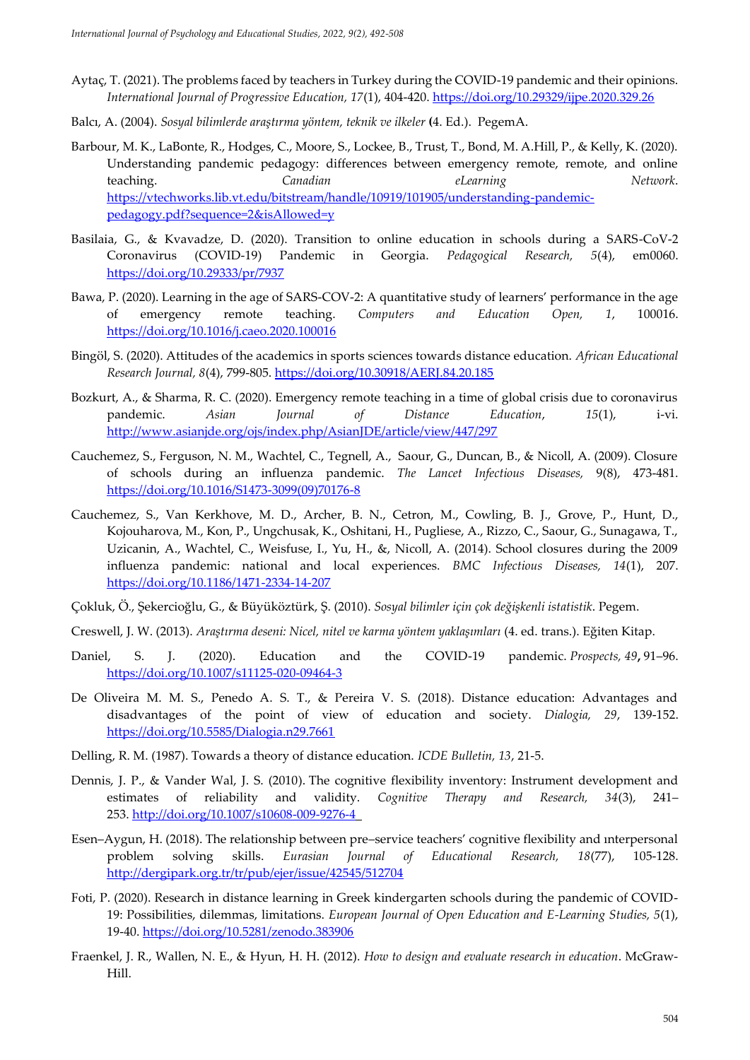- Aytaç, T. (2021). The problems faced by teachers in Turkey during the COVID-19 pandemic and their opinions. *International Journal of Progressive Education, 17*(1), 404-420[. https://doi.org/10.29329/ijpe.2020.329.26](https://doi.org/10.29329/ijpe.2020.329.26)
- Balcı, A. (2004). *Sosyal bilimlerde araştırma yöntem, teknik ve ilkeler* **(**4. Ed.). PegemA.
- Barbour, M. K., LaBonte, R., Hodges, C., Moore, S., Lockee, B., Trust, T., Bond, M. A.Hill, P., & Kelly, K. (2020). Understanding pandemic pedagogy: differences between emergency remote, remote, and online teaching. *Canadian eLearning Network*. [https://vtechworks.lib.vt.edu/bitstream/handle/10919/101905/understanding-pandemic](https://vtechworks.lib.vt.edu/bitstream/handle/10919/101905/understanding-pandemic-pedagogy.pdf?sequence=2&isAllowed=y)[pedagogy.pdf?sequence=2&isAllowed=y](https://vtechworks.lib.vt.edu/bitstream/handle/10919/101905/understanding-pandemic-pedagogy.pdf?sequence=2&isAllowed=y)
- Basilaia, G., & Kvavadze, D. (2020). Transition to online education in schools during a SARS-CoV-2 Coronavirus (COVID-19) Pandemic in Georgia. *Pedagogical Research, 5*(4), em0060. <https://doi.org/10.29333/pr/7937>
- Bawa, P. (2020). Learning in the age of SARS-COV-2: A quantitative study of learners' performance in the age of emergency remote teaching. *Computers and Education Open, 1*, 100016. <https://doi.org/10.1016/j.caeo.2020.100016>
- Bingöl, S. (2020). Attitudes of the academics in sports sciences towards distance education. *African Educational Research Journal, 8*(4), 799-805.<https://doi.org/10.30918/AERJ.84.20.185>
- Bozkurt, A., & Sharma, R. C. (2020). Emergency remote teaching in a time of global crisis due to coronavirus pandemic. *Asian Journal of Distance Education*, *15*(1), i-vi. <http://www.asianjde.org/ojs/index.php/AsianJDE/article/view/447/297>
- Cauchemez, S., Ferguson, N. M., Wachtel, C., Tegnell, A., Saour, G., Duncan, B., & Nicoll, A. (2009). Closure of schools during an influenza pandemic. *The Lancet Infectious Diseases,* 9(8), 473-481. [https://doi.org/10.1016/S1473-3099\(09\)70176-8](https://doi.org/10.1016/S1473-3099(09)70176-8)
- Cauchemez, S., Van Kerkhove, M. D., Archer, B. N., Cetron, M., Cowling, B. J., Grove, P., Hunt, D., Kojouharova, M., Kon, P., Ungchusak, K., Oshitani, H., Pugliese, A., Rizzo, C., Saour, G., Sunagawa, T., Uzicanin, A., Wachtel, C., Weisfuse, I., Yu, H., &, Nicoll, A. (2014). School closures during the 2009 influenza pandemic: national and local experiences. *BMC Infectious Diseases, 14*(1), 207. <https://doi.org/10.1186/1471-2334-14-207>
- Çokluk, Ö., Şekercioğlu, G., & Büyüköztürk, Ş. (2010). *Sosyal bilimler için çok değişkenli istatistik*. Pegem.
- Creswell, J. W. (2013). *Araştırma deseni: Nicel, nitel ve karma yöntem yaklaşımları* (4. ed. trans.). Eğiten Kitap.
- Daniel, S. J. (2020). Education and the COVID-19 pandemic. *Prospects, 49***,** 91–96. <https://doi.org/10.1007/s11125-020-09464-3>
- De Oliveira M. M. S., Penedo A. S. T., & Pereira V. S. (2018). Distance education: Advantages and disadvantages of the point of view of education and society. *Dialogia, 29*, 139-152. <https://doi.org/10.5585/Dialogia.n29.7661>
- Delling, R. M. (1987). Towards a theory of distance education. *ICDE Bulletin, 13*, 21-5.
- Dennis, J. P., & Vander Wal, J. S. (2010). The cognitive flexibility inventory: Instrument development and estimates of reliability and validity. *Cognitive Therapy and Research, 34*(3), 241– 253. <http://doi.org/10.1007/s10608-009-9276-4>
- Esen–Aygun, H. (2018). The relationship between pre–service teachers' cognitive flexibility and ınterpersonal problem solving skills. *Eurasian Journal of Educational Research, 18*(77), 105-128. <http://dergipark.org.tr/tr/pub/ejer/issue/42545/512704>
- Foti, P. (2020). Research in distance learning in Greek kindergarten schools during the pandemic of COVID-19: Possibilities, dilemmas, limitations. *European Journal of Open Education and E-Learning Studies, 5*(1), 19-40.<https://doi.org/10.5281/zenodo.383906>
- Fraenkel, J. R., Wallen, N. E., & Hyun, H. H. (2012). *How to design and evaluate research in education*. McGraw-Hill.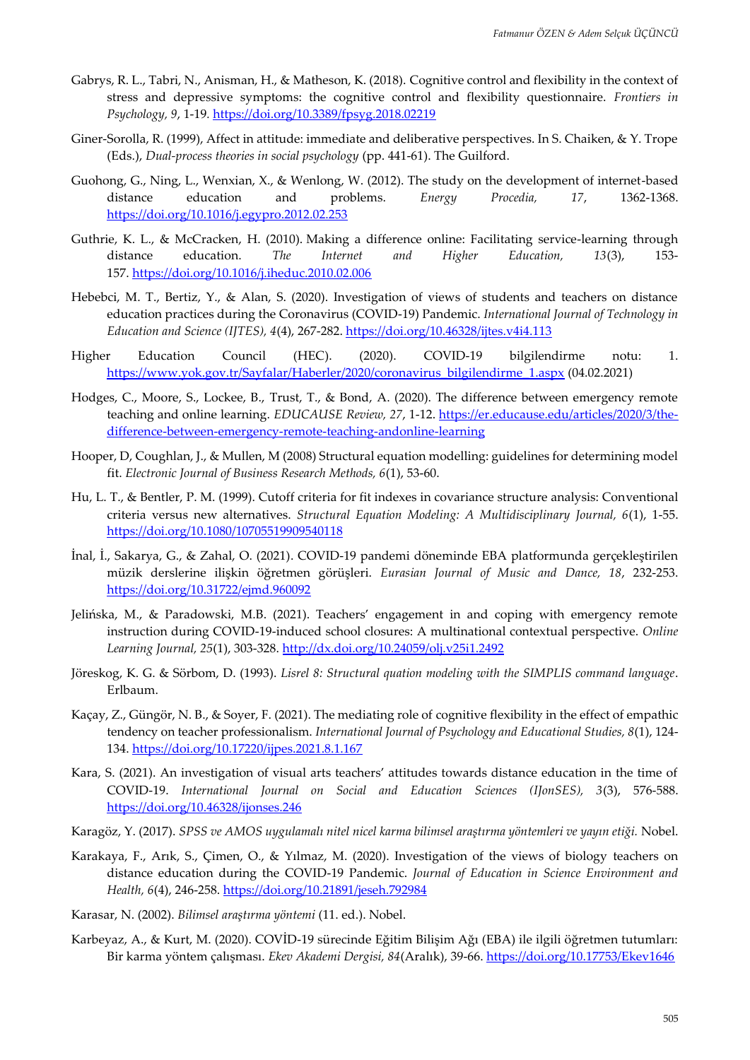- Gabrys, R. L., Tabri, N., Anisman, H., & Matheson, K. (2018). Cognitive control and flexibility in the context of stress and depressive symptoms: the cognitive control and flexibility questionnaire. *Frontiers in Psychology, 9*, 1-19*.* <https://doi.org/10.3389/fpsyg.2018.02219>
- Giner-Sorolla, R. (1999), Affect in attitude: immediate and deliberative perspectives. In S. Chaiken, & Y. Trope (Eds.), *Dual-process theories in social psychology* (pp. 441-61). The Guilford.
- Guohong, G., Ning, L., Wenxian, X., & Wenlong, W. (2012). The study on the development of internet-based distance education and problems. *Energy Procedia, 17*, 1362-1368. <https://doi.org/10.1016/j.egypro.2012.02.253>
- Guthrie, K. L., & McCracken, H. (2010). Making a difference online: Facilitating service-learning through distance education. *The Internet and Higher Education, 13*(3), 153- 157. <https://doi.org/10.1016/j.iheduc.2010.02.006>
- Hebebci, M. T., Bertiz, Y., & Alan, S. (2020). Investigation of views of students and teachers on distance education practices during the Coronavirus (COVID-19) Pandemic. *International Journal of Technology in Education and Science (IJTES), 4*(4), 267-282[. https://doi.org/10.46328/ijtes.v4i4.113](https://doi.org/10.46328/ijtes.v4i4.113)
- Higher Education Council (HEC). (2020). COVID-19 bilgilendirme notu: 1. [https://www.yok.gov.tr/Sayfalar/Haberler/2020/coronavirus\\_bilgilendirme\\_1.aspx](https://www.yok.gov.tr/Sayfalar/Haberler/2020/coronavirus_bilgilendirme_1.aspx) (04.02.2021)
- Hodges, C., Moore, S., Lockee, B., Trust, T., & Bond, A. (2020). The difference between emergency remote teaching and online learning. *EDUCAUSE Review, 27*, 1-12. [https://er.educause.edu/articles/2020/3/the](https://er.educause.edu/articles/2020/3/the-difference-between-emergency-remote-teaching-andonline-learning)[difference-between-emergency-remote-teaching-andonline-learning](https://er.educause.edu/articles/2020/3/the-difference-between-emergency-remote-teaching-andonline-learning)
- Hooper, D, Coughlan, J., & Mullen, M (2008) Structural equation modelling: guidelines for determining model fit. *Electronic Journal of Business Research Methods, 6*(1), 53-60.
- Hu, L. T., & Bentler, P. M. (1999). Cutoff criteria for fit indexes in covariance structure analysis: Conventional criteria versus new alternatives. *Structural Equation Modeling: A Multidisciplinary Journal, 6*(1), 1-55. <https://doi.org/10.1080/10705519909540118>
- İnal, İ., Sakarya, G., & Zahal, O. (2021). COVID-19 pandemi döneminde EBA platformunda gerçekleştirilen müzik derslerine ilişkin öğretmen görüşleri. *Eurasian Journal of Music and Dance, 18*, 232-253. <https://doi.org/10.31722/ejmd.960092>
- Jelińska, M., & Paradowski, M.B. (2021). Teachers' engagement in and coping with emergency remote instruction during COVID-19-induced school closures: A multinational contextual perspective. *Online Learning Journal, 25*(1), 303-328.<http://dx.doi.org/10.24059/olj.v25i1.2492>
- Jöreskog, K. G. & Sörbom, D. (1993). *Lisrel 8: Structural quation modeling with the SIMPLIS command language*. Erlbaum.
- Kaçay, Z., Güngör, N. B., & Soyer, F. (2021). The mediating role of cognitive flexibility in the effect of empathic tendency on teacher professionalism. *International Journal of Psychology and Educational Studies, 8*(1), 124- 134.<https://doi.org/10.17220/ijpes.2021.8.1.167>
- Kara, S. (2021). An investigation of visual arts teachers' attitudes towards distance education in the time of COVID-19. *International Journal on Social and Education Sciences (IJonSES), 3*(3), 576-588. <https://doi.org/10.46328/ijonses.246>
- Karagöz, Y. (2017). *SPSS ve AMOS uygulamalı nitel nicel karma bilimsel araştırma yöntemleri ve yayın etiği.* Nobel.
- Karakaya, F., Arık, S., Çimen, O., & Yılmaz, M. (2020). Investigation of the views of biology teachers on distance education during the COVID-19 Pandemic. *Journal of Education in Science Environment and Health, 6*(4), 246-258.<https://doi.org/10.21891/jeseh.792984>
- Karasar, N. (2002). *Bilimsel araştırma yöntemi* (11. ed.). Nobel.
- Karbeyaz, A., & Kurt, M. (2020). COVİD-19 sürecinde Eğitim Bilişim Ağı (EBA) ile ilgili öğretmen tutumları: Bir karma yöntem çalışması. *Ekev Akademi Dergisi, 84*(Aralık), 39-66.<https://doi.org/10.17753/Ekev1646>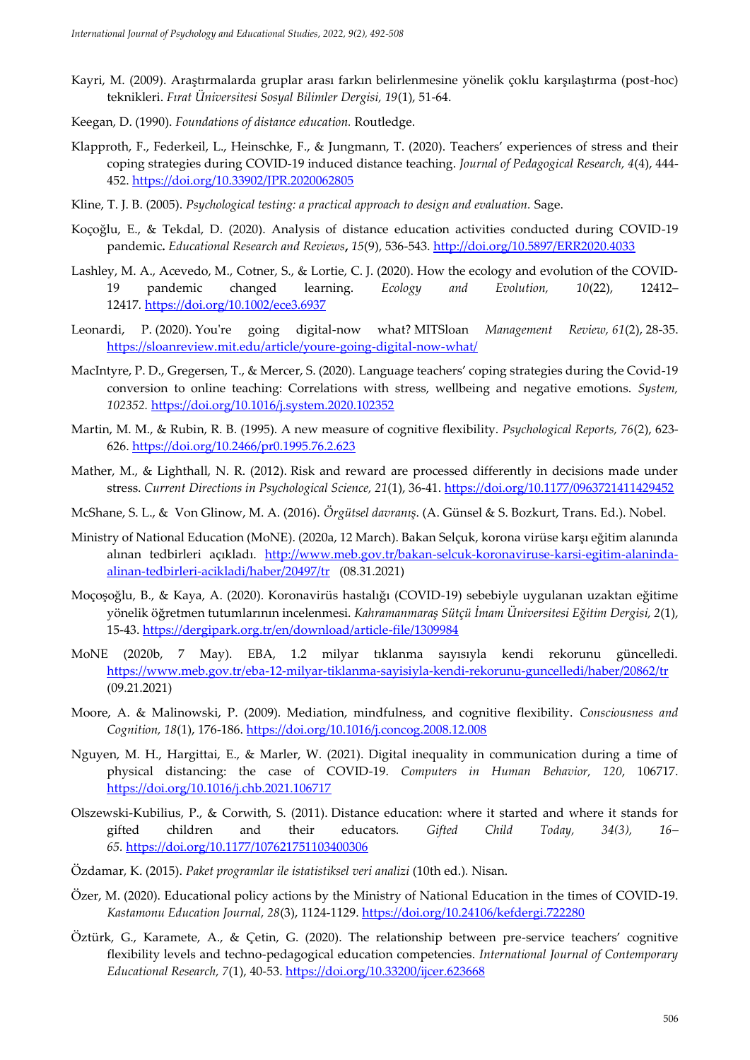- Kayri, M. (2009). Araştırmalarda gruplar arası farkın belirlenmesine yönelik çoklu karşılaştırma (post-hoc) teknikleri. *Fırat Üniversitesi Sosyal Bilimler Dergisi, 19*(1), 51-64.
- Keegan, D. (1990). *Foundations of distance education.* Routledge.
- Klapproth, F., Federkeil, L., Heinschke, F., & Jungmann, T. (2020). Teachers' experiences of stress and their coping strategies during COVID-19 induced distance teaching. *Journal of Pedagogical Research, 4*(4), 444- 452.<https://doi.org/10.33902/JPR.2020062805>
- Kline, T. J. B. (2005). *Psychological testing: a practical approach to design and evaluation.* Sage.
- Koçoğlu, E., & Tekdal, D. (2020). Analysis of distance education activities conducted during COVID-19 pandemic**.** *Educational Research and Reviews***,** *15*(9), 536-543.<http://doi.org/10.5897/ERR2020.4033>
- Lashley, M. A., Acevedo, M., Cotner, S., & Lortie, C. J. (2020). How the ecology and evolution of the COVID‐ 19 pandemic changed learning. *Ecology and Evolution, 10*(22), 12412– 12417*.* <https://doi.org/10.1002/ece3.6937>
- Leonardi, P. (2020). You're going digital-now what? MITSloan *Management Review, 61*(2), 28-35. <https://sloanreview.mit.edu/article/youre-going-digital-now-what/>
- MacIntyre, P. D., Gregersen, T., & Mercer, S. (2020). Language teachers' coping strategies during the Covid-19 conversion to online teaching: Correlations with stress, wellbeing and negative emotions. *System, 102352.* <https://doi.org/10.1016/j.system.2020.102352>
- Martin, M. M., & Rubin, R. B. (1995). A new measure of cognitive flexibility. *Psychological Reports, 76*(2), 623- 626. <https://doi.org/10.2466/pr0.1995.76.2.623>
- Mather, M., & Lighthall, N. R. (2012). Risk and reward are processed differently in decisions made under stress. *Current Directions in Psychological Science, 21*(1), 36-41. <https://doi.org/10.1177/0963721411429452>
- McShane, S. L., & Von Glinow, M. A. (2016). *Örgütsel davranış*. (A. Günsel & S. Bozkurt, Trans. Ed.). Nobel.
- Ministry of National Education (MoNE). (2020a, 12 March). Bakan Selçuk, korona virüse karşı eğitim alanında alınan tedbirleri açıkladı. [http://www.meb.gov.tr/bakan-selcuk-koronaviruse-karsi-egitim-alaninda](http://www.meb.gov.tr/bakan-selcuk-koronaviruse-karsi-egitim-alaninda-alinan-tedbirleri-acikladi/haber/20497/tr)[alinan-tedbirleri-acikladi/haber/20497/tr](http://www.meb.gov.tr/bakan-selcuk-koronaviruse-karsi-egitim-alaninda-alinan-tedbirleri-acikladi/haber/20497/tr) (08.31.2021)
- Moçoşoğlu, B., & Kaya, A. (2020). Koronavirüs hastalığı (COVID-19) sebebiyle uygulanan uzaktan eğitime yönelik öğretmen tutumlarının incelenmesi. *Kahramanmaraş Sütçü İmam Üniversitesi Eğitim Dergisi, 2*(1), 15-43.<https://dergipark.org.tr/en/download/article-file/1309984>
- MoNE (2020b, 7 May). EBA, 1.2 milyar tıklanma sayısıyla kendi rekorunu güncelledi. <https://www.meb.gov.tr/eba-12-milyar-tiklanma-sayisiyla-kendi-rekorunu-guncelledi/haber/20862/tr> (09.21.2021)
- Moore, A. & Malinowski, P. (2009). Mediation, mindfulness, and cognitive flexibility. *Consciousness and Cognition, 18*(1), 176-186. <https://doi.org/10.1016/j.concog.2008.12.008>
- Nguyen, M. H., Hargittai, E., & Marler, W. (2021). Digital inequality in communication during a time of physical distancing: the case of COVID-19. *Computers in Human Behavior, 120*, 106717. <https://doi.org/10.1016/j.chb.2021.106717>
- Olszewski-Kubilius, P., & Corwith, S. (2011). Distance education: where it started and where it stands for gifted children and their educators*. Gifted Child Today, 34(3), 16– 65.* <https://doi.org/10.1177/107621751103400306>
- Özdamar, K. (2015). *Paket programlar ile istatistiksel veri analizi* (10th ed.)*.* Nisan.
- Özer, M. (2020). Educational policy actions by the Ministry of National Education in the times of COVID-19. *Kastamonu Education Journal, 28*(3), 1124-1129.<https://doi.org/10.24106/kefdergi.722280>
- Öztürk, G., Karamete, A., & Çetin, G. (2020). The relationship between pre-service teachers' cognitive flexibility levels and techno-pedagogical education competencies. *International Journal of Contemporary Educational Research, 7*(1), 40-53.<https://doi.org/10.33200/ijcer.623668>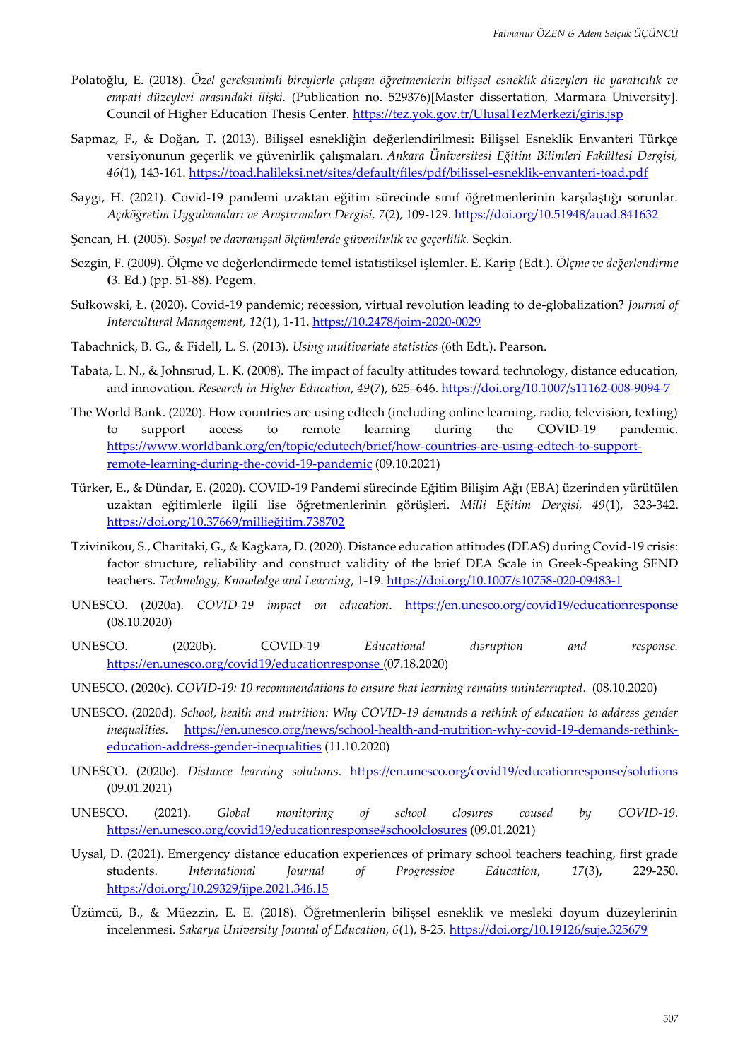- Polatoğlu, E. (2018). *Özel gereksinimli bireylerle çalışan öğretmenlerin bilişsel esneklik düzeyleri ile yaratıcılık ve empati düzeyleri arasındaki ilişki.* (Publication no. 529376)[Master dissertation, Marmara University]. Council of Higher Education Thesis Center.<https://tez.yok.gov.tr/UlusalTezMerkezi/giris.jsp>
- Sapmaz, F., & Doğan, T. (2013). Bilişsel esnekliğin değerlendirilmesi: Bilişsel Esneklik Envanteri Türkçe versiyonunun geçerlik ve güvenirlik çalışmaları. *Ankara Üniversitesi Eğitim Bilimleri Fakültesi Dergisi, 46*(1), 143-161.<https://toad.halileksi.net/sites/default/files/pdf/bilissel-esneklik-envanteri-toad.pdf>
- Saygı, H. (2021). Covid-19 pandemi uzaktan eğitim sürecinde sınıf öğretmenlerinin karşılaştığı sorunlar. *Açıköğretim Uygulamaları ve Araştırmaları Dergisi, 7*(2), 109-129.<https://doi.org/10.51948/auad.841632>
- Şencan, H. (2005). *Sosyal ve davranışsal ölçümlerde güvenilirlik ve geçerlilik.* Seçkin.
- Sezgin, F. (2009). Ölçme ve değerlendirmede temel istatistiksel işlemler. E. Karip (Edt.). *Ölçme ve değerlendirme* **(**3. Ed.) (pp. 51-88). Pegem.
- Sułkowski, Ł. (2020). Covid-19 pandemic; recession, virtual revolution leading to de-globalization? *Journal of Intercultural Management, 12*(1), 1-11. [https://10.2478/joim-2020-0029](https://10.0.9.174/joim-2020-0029)
- Tabachnick, B. G., & Fidell, L. S. (2013). *Using multivariate statistics* (6th Edt.). Pearson.
- Tabata, L. N., & Johnsrud, L. K. (2008). The impact of faculty attitudes toward technology, distance education, and innovation. *Research in Higher Education, 49*(7), 625–646. <https://doi.org/10.1007/s11162-008-9094-7>
- The World Bank. (2020). How countries are using edtech (including online learning, radio, television, texting) to support access to remote learning during the COVID-19 pandemic. [https://www.worldbank.org/en/topic/edutech/brief/how-countries-are-using-edtech-to-support](https://www.worldbank.org/en/topic/edutech/brief/how-countries-are-using-edtech-to-support-remote-learning-during-the-covid-19-pandemic)[remote-learning-during-the-covid-19-pandemic](https://www.worldbank.org/en/topic/edutech/brief/how-countries-are-using-edtech-to-support-remote-learning-during-the-covid-19-pandemic) (09.10.2021)
- Türker, E., & Dündar, E. (2020). COVID-19 Pandemi sürecinde Eğitim Bilişim Ağı (EBA) üzerinden yürütülen uzaktan eğitimlerle ilgili lise öğretmenlerinin görüşleri. *Milli Eğitim Dergisi, 49*(1), 323-342. <https://doi.org/10.37669/millieğitim.738702>
- Tzivinikou, S., Charitaki, G., & Kagkara, D. (2020). Distance education attitudes (DEAS) during Covid-19 crisis: factor structure, reliability and construct validity of the brief DEA Scale in Greek-Speaking SEND teachers. *Technology, Knowledge and Learning*, 1-19.<https://doi.org/10.1007/s10758-020-09483-1>
- UNESCO. (2020a). *COVID-19 impact on education*. <https://en.unesco.org/covid19/educationresponse> (08.10.2020)
- UNESCO. (2020b). COVID-19 *Educational disruption and response.* <https://en.unesco.org/covid19/educationresponse> (07.18.2020)
- UNESCO. (2020c). *COVID-19: 10 recommendations to ensure that learning remains uninterrupted*. (08.10.2020)
- UNESCO. (2020d). *School, health and nutrition: Why COVID-19 demands a rethink of education to address gender inequalities*. [https://en.unesco.org/news/school-health-and-nutrition-why-covid-19-demands-rethink](https://en.unesco.org/news/school-health-and-nutrition-why-covid-19-demands-rethink-education-address-gender-inequalities)[education-address-gender-inequalities](https://en.unesco.org/news/school-health-and-nutrition-why-covid-19-demands-rethink-education-address-gender-inequalities) (11.10.2020)
- UNESCO. (2020e). *Distance learning solutions*. <https://en.unesco.org/covid19/educationresponse/solutions> (09.01.2021)
- UNESCO. (2021). *Global monitoring of school closures coused by COVID-19.* <https://en.unesco.org/covid19/educationresponse#schoolclosures> (09.01.2021)
- Uysal, D. (2021). Emergency distance education experiences of primary school teachers teaching, first grade students. *International Journal of Progressive Education, 17*(3), 229-250. <https://doi.org/10.29329/ijpe.2021.346.15>
- Üzümcü, B., & Müezzin, E. E. (2018). Öğretmenlerin bilişsel esneklik ve mesleki doyum düzeylerinin incelenmesi. *Sakarya University Journal of Education, 6*(1), 8-25.<https://doi.org/10.19126/suje.325679>